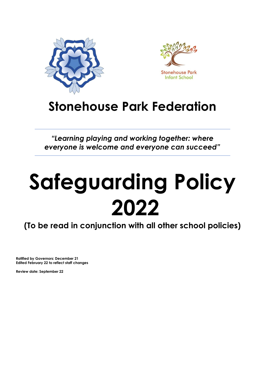



# **Stonehouse Park Federation**

*"Learning playing and working together: where everyone is welcome and everyone can succeed"*

# **Safeguarding Policy 2022**

**(To be read in conjunction with all other school policies)** 

**Ratified by Governors: December 21 Edited February 22 to reflect staff changes**

**Review date: September 22**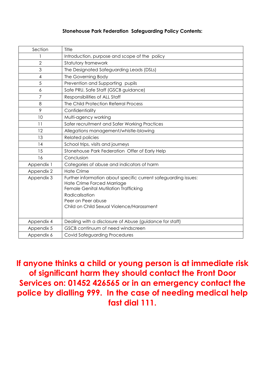# **Stonehouse Park Federation Safeguarding Policy Contents:**

| Section    | Title                                                                                                                                                                                                                       |  |
|------------|-----------------------------------------------------------------------------------------------------------------------------------------------------------------------------------------------------------------------------|--|
|            | Introduction, purpose and scope of the policy                                                                                                                                                                               |  |
| 2          | Statutory framework                                                                                                                                                                                                         |  |
| 3          | The Designated Safeguarding Leads (DSLs)                                                                                                                                                                                    |  |
| 4          | The Governing Body                                                                                                                                                                                                          |  |
| 5          | Prevention and Supporting pupils                                                                                                                                                                                            |  |
| 6          | Safe PRU, Safe Staff (GSCB guidance)                                                                                                                                                                                        |  |
| 7          | Responsibilities of ALL Staff                                                                                                                                                                                               |  |
| 8          | The Child Protection Referral Process                                                                                                                                                                                       |  |
| 9          | Confidentiality                                                                                                                                                                                                             |  |
| 10         | Multi-agency working                                                                                                                                                                                                        |  |
| 11         | Safer recruitment and Safer Working Practices                                                                                                                                                                               |  |
| 12         | Allegations management/whistle-blowing                                                                                                                                                                                      |  |
| 13         | <b>Related policies</b>                                                                                                                                                                                                     |  |
| 14         | School trips, visits and journeys                                                                                                                                                                                           |  |
| 15         | Stonehouse Park Federation Offer of Early Help                                                                                                                                                                              |  |
| 16         | Conclusion                                                                                                                                                                                                                  |  |
| Appendix 1 | Categories of abuse and indicators of harm                                                                                                                                                                                  |  |
| Appendix 2 | <b>Hate Crime</b>                                                                                                                                                                                                           |  |
| Appendix 3 | Further information about specific current safeguarding issues:<br>Hate Crime Forced Marriage<br>Female Genital Mutilation Trafficking<br>Radicalisation<br>Peer on Peer abuse<br>Child on Child Sexual Violence/Harassment |  |
| Appendix 4 | Dealing with a disclosure of Abuse (guidance for staff)                                                                                                                                                                     |  |
| Appendix 5 | GSCB continuum of need windscreen                                                                                                                                                                                           |  |
| Appendix 6 | <b>Covid Safeguarding Procedures</b>                                                                                                                                                                                        |  |

**If anyone thinks a child or young person is at immediate risk of significant harm they should contact the Front Door Services on: 01452 426565 or in an emergency contact the police by dialling 999. In the case of needing medical help fast dial 111.**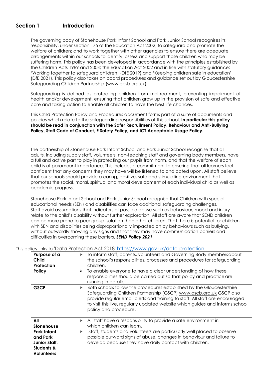# **Section 1 Introduction**

The governing body of Stonehouse Park Infant School and Park Junior School recognises its responsibility, under section 175 of the Education Act 2002, to safeguard and promote the welfare of children; and to work together with other agencies to ensure there are adequate arrangements within our schools to identify, assess and support those children who may be suffering harm. This policy has been developed in accordance with the principles established by the Children Acts 1989 and 2004; the Education Act 2002 and in line with statutory guidance: 'Working together to safeguard children' (DfE 2019) and 'Keeping children safe in education' (DfE 2021). This policy also takes on board procedures and guidance set out by Gloucestershire Safeguarding Children Partnership [\(www.gcsb.org.uk\)](http://www.gcsb.org.uk/)

Safeguarding is defined as protecting children from maltreatment, preventing impairment of health and/or development, ensuring that children grow up in the provision of safe and effective care and taking action to enable all children to have the best life chances.

This Child Protection Policy and Procedures document forms part of a suite of documents and policies which relate to the safeguarding responsibilities of this school. **In particular this policy should be read in conjunction with the Safer Recruitment Policy, Behaviour and Anti-Bullying Policy, Staff Code of Conduct, E Safety Policy, and ICT Acceptable Usage Policy.**

The partnership of Stonehouse Park Infant School and Park Junior School recognise that all adults, including supply staff, volunteers, non-teaching staff and governing body members, have a full and active part to play in protecting our pupils from harm, and that the welfare of each child is of paramount importance. This includes a commitment to ensuring that all learners feel confident that any concerns they may have will be listened to and acted upon. All staff believe that our schools should provide a caring, positive, safe and stimulating environment that promotes the social, moral, spiritual and moral development of each individual child as well as academic progress.

Stonehouse Park Infant School and Park Junior School recognise that Children with special educational needs (SEN) and disabilities can face additional safeguarding challenges. Staff avoid assumptions that indicators of possible abuse such as behaviour, mood and injury relate to the child's disability without further exploration. All staff are aware that SEND children can be more prone to peer group isolation than other children. That there is potential for children with SEN and disabilities being disproportionally impacted on by behaviours such as bullying, without outwardly showing any signs and that they may have communication barriers and difficulties in overcoming these barriers. *SEND Policy 2021*

#### This policy links to 'Data Protection Act 2018' <https://www.gov.uk/data-protection>

| Purpose of a<br>Child<br>Protection<br>Policy                                                                             | To inform staff, parents, volunteers and Governing Body members about<br>➤<br>the school's responsibilities, processes and procedures for safeguarding<br>children.<br>To enable everyone to have a clear understanding of how these<br>≻                                                                                                  |
|---------------------------------------------------------------------------------------------------------------------------|--------------------------------------------------------------------------------------------------------------------------------------------------------------------------------------------------------------------------------------------------------------------------------------------------------------------------------------------|
|                                                                                                                           | responsibilities should be carried out so that policy and practice are<br>running in parallel.                                                                                                                                                                                                                                             |
| <b>GSCP</b>                                                                                                               | Both schools follow the procedures established by the Gloucestershire<br>➤<br>Safeguarding Children Partnership (GSCP) www.gscb.org.uk GSCP also<br>provide regular email alerts and training to staff. All staff are encouraged<br>to visit this live, regularly updated website which guides and informs school<br>policy and procedure. |
| All<br><b>Stonehouse</b><br><b>Park Infant</b><br>and Park<br>Junior Staff,<br><b>Students &amp;</b><br><b>Volunteers</b> | All staff have a responsibility to provide a safe environment in<br>➤<br>which children can learn.<br>Staff, students and volunteers are particularly well placed to observe<br>➤<br>possible outward signs of abuse, changes in behaviour and failure to<br>develop because they have daily contact with children.                        |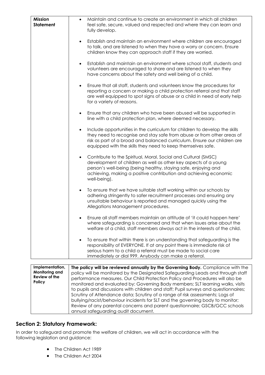| <b>Mission</b><br><b>Statement</b> | Maintain and continue to create an environment in which all children<br>$\bullet$<br>feel safe, secure, valued and respected and where they can learn and<br>fully develop.                                                                                                                                  |
|------------------------------------|--------------------------------------------------------------------------------------------------------------------------------------------------------------------------------------------------------------------------------------------------------------------------------------------------------------|
|                                    | Establish and maintain an environment where children are encouraged<br>$\bullet$<br>to talk, and are listened to when they have a worry or concern. Ensure<br>children know they can approach staff if they are worried.                                                                                     |
|                                    | Establish and maintain an environment where school staff, students and<br>volunteers are encouraged to share and are listened to when they<br>have concerns about the safety and well being of a child.                                                                                                      |
|                                    | Ensure that all staff, students and volunteers know the procedures for<br>$\bullet$<br>reporting a concern or making a child protection referral and that staff<br>are well equipped to spot signs of abuse or a child in need of early help<br>for a variety of reasons.                                    |
|                                    | Ensure that any children who have been abused will be supported in<br>$\bullet$<br>line with a child protection plan, where deemed necessary.                                                                                                                                                                |
|                                    | Include opportunities in the curriculum for children to develop the skills<br>$\bullet$<br>they need to recognise and stay safe from abuse or from other areas of<br>risk as part of a broad and balanced curriculum. Ensure our children are<br>equipped with the skills they need to keep themselves safe. |
|                                    | Contribute to the Spiritual, Moral, Social and Cultural (SMSC)<br>$\bullet$<br>development of children as well as other key aspects of a young<br>person's well-being (being healthy, staying safe, enjoying and<br>achieving, making a positive contribution and achieving economic<br>well-being).         |
|                                    | To ensure that we have suitable staff working within our schools by<br>$\bullet$<br>adhering stringently to safer recruitment processes and ensuring any<br>unsuitable behaviour is reported and managed quickly using the<br>Allegations Management procedures.                                             |
|                                    | Ensure all staff members maintain an attitude of 'it could happen here'<br>where safeguarding is concerned and that when issues arise about the<br>welfare of a child, staff members always act in the interests of the child.                                                                               |
|                                    | To ensure that within there is an understanding that safeguarding is the<br>responsibility of EVERYONE. If at any point there is immediate risk of<br>serious harm to a child a referral must be made to social care<br>immediately or dial 999. Anybody can make a referral.                                |
| Implementation,                    | The policy will be reviewed annually by the Governing Body. Compliance with the                                                                                                                                                                                                                              |

**Monitoring and Review of the Policy** policy will be monitored by the Designated Safeguarding Leads and through staff performance measures. Our Child Protection Policy and Procedures will also be monitored and evaluated by: Governing Body members; SLT learning walks, visits to pupils and discussions with children and staff; Pupil surveys and questionnaires; Scrutiny of Attendance data; Scrutiny of a range of risk assessments; Logs of bullying/racist/behaviour incidents for SLT and the governing body to monitor; Review of any parental concerns and parent questionnaire; GSCB/GCC schools annual safeguarding audit document.

# **Section 2: Statutory Framework:**

In order to safeguard and promote the welfare of children, we will act in accordance with the following legislation and guidance:

- The Children Act 1989
- The Children Act 2004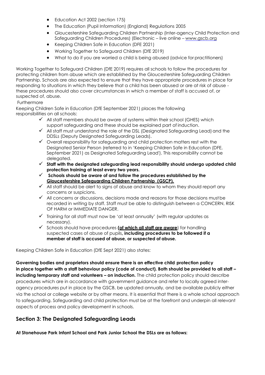- Education Act 2002 (section 175)
- The Education (Pupil Information) (England) Regulations 2005
- Gloucestershire Safeguarding Children Partnership (Inter-agency Child Protection and Safeguarding Children Procedures) (Electronic – live online – [www.gscb.org](http://www.gscb.org/)
- Keeping Children Safe in Education (DFE 2021)
- Working Together to Safeguard Children (DfE 2019)
- What to do if you are worried a child is being abused (advice for practitioners)

Working Together to Safeguard Children (DfE 2019) requires all schools to follow the procedures for protecting children from abuse which are established by the Gloucestershire Safeguarding Children Partnership. Schools are also expected to ensure that they have appropriate procedures in place for responding to situations in which they believe that a child has been abused or are at risk of abuse these procedures should also cover circumstances in which a member of staff is accused of, or suspected of, abuse.

#### Furthermore

Keeping Children Safe in Education (DfE September 2021) places the following responsibilities on all schools:

- $\checkmark$  All staff members should be aware of systems within their school (GHES) which support safeguarding and these should be explained part of induction.
- $\checkmark$  All staff must understand the role of the DSL (Designated Safeguarding Lead) and the DDSLs (Deputy Designated Safeguarding Leads).
- ✓ Overall responsibility for safeguarding and child protection matters rest with the Designated Senior Person (referred to in 'Keeping Children Safe in Education (DFE, September 2021) as Designated Safeguarding Lead'). This responsibility cannot be delegated.
- ✓ **Staff with the designated safeguarding lead responsibility should undergo updated child protection training at least every two years.**
- ✓ **Schools should be aware of and follow the procedures established by the Gloucestershire Safeguarding Children Partnership (GSCP).**
- $\checkmark$  All staff should be alert to signs of abuse and know to whom they should report any concerns or suspicions.
- ✓ All concerns or discussions, decisions made and reasons for those decisions mustbe recorded in writing by staff. Staff must be able to distinguish between a CONCERN, RISK OF HARM or IMMEDIATE DANGER.
- ✓ Training for all staff must now be 'at least annually' (with regular updates as necessary).
- ✓ Schools should have procedures **(of which all staff are aware**) for handling suspected cases of abuse of pupils**, including procedures to be followed if a member of staff is accused of abuse, or suspected of abuse.**

Keeping Children Safe in Education (DfE Sept 2021) also states:

**Governing bodies and proprietors should ensure there is an effective child protection policy in place together with a staff behaviour policy (code of conduct). Both should be provided to all staff – including temporary staff and volunteers - on induction.** The child protection policy should describe procedures which are in accordance with government guidance and refer to locally agreed interagency procedures put in place by the GSCB, be updated annually, and be available publicly either via the school or college website or by other means. It is essential that there is a whole school approach to safeguarding. Safeguarding and child protection must be at the forefront and underpin all relevant aspects of process and policy development in schools.

# **Section 3: The Designated Safeguarding Leads**

**At Stonehouse Park Infant School and Park Junior School the DSLs are as follows:**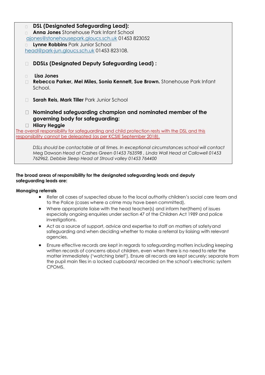| $\Box$ | <b>DSL (Designated Safeguarding Lead):</b>                                                   |
|--------|----------------------------------------------------------------------------------------------|
| П      | <b>Anna Jones</b> Stonehouse Park Infant School                                              |
|        | gjones@stonehousepark.gloucs.sch.uk 01453 823052                                             |
|        | Lynne Robbins Park Junior School                                                             |
|        | head@park-jun.gloucs.sch.uk 01453 823108.                                                    |
|        |                                                                                              |
| П      | DDSLs (Designated Deputy Safeguarding Lead):                                                 |
|        |                                                                                              |
| $\Box$ | Lisa Jones                                                                                   |
| $\Box$ | Rebecca Parker, Mel Miles, Sonia Kennett, Sue Brown. Stonehouse Park Infant                  |
|        | School.                                                                                      |
|        |                                                                                              |
|        | Sarah Reis, Mark Tiller Park Junior School                                                   |
|        |                                                                                              |
| Ш      | Nominated safeguarding champion and nominated member of the                                  |
|        | governing body for safeguarding:                                                             |
| Ш      | <b>Hilary Heggie</b>                                                                         |
|        | The overall responsibility for safeguarding and child protection rests with the DSL and this |
|        | responsibility cannot be delegated (as per KCSIE September 2018).                            |
|        |                                                                                              |
|        | DSLs should be contactable at all times. In exceptional circumstances school will contact    |
|        | Meg Dawson Head at Cashes Green 01453 763598, Linda Wall Head at Callowell 01453             |

*762962, Debbie Sleep Head at Stroud valley 01453 764400*

#### **The broad areas of responsibility for the designated safeguarding leads and deputy safeguarding leads are:**

#### **Managing referrals**

- Refer all cases of suspected abuse to the local authority children's social care team and to the Police (cases where a crime may have been committed).
- Where appropriate liaise with the head teacher(s) and inform her(them) of issues especially ongoing enquiries under section 47 of the Children Act 1989 and police investigations.
- Act as a source of support, advice and expertise to staff on matters of safety and safeguarding and when deciding whether to make a referral by liaising with relevant agencies.
- Ensure effective records are kept in regards to safeguarding matters including keeping written records of concerns about children, even when there is no need to refer the matter immediately ('watching brief'). Ensure all records are kept securely; separate from the pupil main files in a locked cupboard/ recorded on the school's electronic system CPOMS.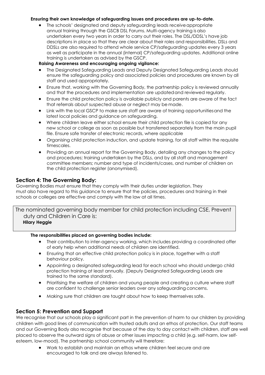#### **Ensuring their own knowledge of safeguarding issues and procedures are up-to-date.**

• The schools' designated and deputy safeguarding leads receiveappropriate annual training through the GSCB DSL Forums. Multi-agency training is also undertaken every two years in order to carry out their roles. The DSL/DDSL's have job descriptions in place so that they are clear about their roles and responsibilities. DSLs and DDSLs are also required to attend whole service CP/safeguarding updates every 3 years as well as participate in the annual (internal) CP/safeguarding updates. Additional online training is undertaken as advised by the GSCP.

# **Raising Awareness and encouraging ongoing vigilance:**

- The Designated Safeguarding Leads and Deputy Designated Safeguarding Leads should ensure the safeguarding policy and associated policies and procedures are known by all staff and used appropriately.
- Ensure that, working with the Governing Body, the partnership policy is reviewed annually and that the procedures and implementation are updatedand reviewed regularly.
- Ensure the child protection policy is available publicly and parents are aware of the fact that referrals about suspected abuse or neglect may be made.
- Link with the local GSCP to make sure staff are aware of training opportunitiesand the latest local policies and guidance on safeguarding.
- Where children leave either school ensure their child protection file is copied for any new school or college as soon as possible but transferred separately from the main pupil file. Ensure safe transfer of electronic records, where applicable
- Organising child protection induction, and update training, for all staff within the requisite timescales.
- Providing an annual report for the Governing Body, detailing any changes to the policy and procedures; training undertaken by the DSLs, and by all staff and management committee members; number and type of incidents/cases, and number of children on the child protection register (anonymised).

# **Section 4: The Governing Body:**

Governing Bodies must ensure that they comply with their duties under legislation. They must also have regard to this guidance to ensure that the policies, procedures and training in their schools or colleges are effective and comply with the law at all times.

The nominated governing body member for child protection including CSE, Prevent duty and Children in Care is:  **Hilary Heggie** 

#### **The responsibilities placed on governing bodies include:**

- Their contribution to inter-agency working, which includes providing a coordinated offer of early help when additional needs of children are identified.
- Ensuring that an effective child protection policy is in place, together with a staff behaviour policy.
- Appointing a designated safeguarding lead for each school who should undergo child protection training at least annually. (Deputy Designated Safeguarding Leads are trained to the same standard).
- Prioritising the welfare of children and young people and creating a culture where staff are confident to challenge senior leaders over any safeguarding concerns.
- Making sure that children are taught about how to keep themselves safe.

# **Section 5: Prevention and Support**

We recognise that our schools play a significant part in the prevention of harm to our children by providing children with good lines of communication with trusted adults and an ethos of protection. Our staff teams and our Governing Body also recognise that because of the day to day contact with children, staff are well placed to observe the outward signs of abuse or other issues impacting a child (e.g. self-harm, low selfesteem, low-mood). The partnership school community will therefore:

• Work to establish and maintain an ethos where children feel secure and are encouraged to talk and are always listened to.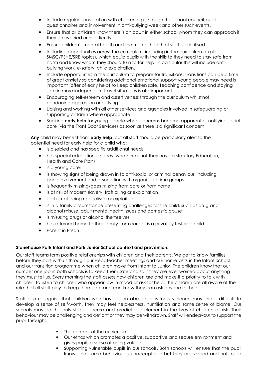- Include regular consultation with children e.g. through the school council, pupil questionnaires and involvement in anti-bullying week and other such events.
- Ensure that all children know there is an adult in either school whom they can approach if they are worried or in difficulty.
- Ensure children's mental health and the mental health of staff is prioritised.
- Including opportunities across the curriculum, including in the curriculum (explicit SMSC/PSHE/SRE topics), which equip pupils with the skills to they need to stay safe from harm and know whom they should turn to for help. In particular this will include antibullying work, e-safety, child exploitation.
- Include opportunities in the curriculum to prepare for transitions. Transitions can be a time of great anxiety so considering additional emotional support young people may need is important (offer of early help) to keep children safe. Teaching confidence and staying safe in more independent travel situations is alsoimportant.
- Encouraging self-esteem and assertiveness through the curriculum whilst not condoning aggression or bullying.
- Liaising and working with all other services and agencies involved in safeguarding or supporting children where appropriate.
- Seeking **early help** for young people when concerns become apparent or notifying social care (via the Front Door Services) as soon as there is a significant concern.

**Any** child may benefit from **early help**, but all staff should be particularly alert to the potential need for early help for a child who:

- is disabled and has specific additional needs
- has special educational needs (whether or not they have a statutory Education, Health and Care Plan)
- is a young carer
- is showing signs of being drawn in to anti-social or criminal behaviour, including gang involvement and association with organised crime groups
- is frequently missing/goes missing from care or from home
- is at risk of modern slavery, trafficking or exploitation
- is at risk of being radicalised or exploited
- is in a family circumstance presenting challenges for the child, such as drug and alcohol misuse, adult mental health issues and domestic abuse
- is misusing drugs or alcohol themselves
- has returned home to their family from care or is a privately fostered child
- Parent in Prison

#### **Stonehouse Park Infant and Park Junior School context and prevention:**

Our staff teams form positive relationships with children and their parents. We get to know families before they start with us through our Headteacher meetings and our home visits in the Infant School and our transition programme when children move from Infant to Junior. The children know that our number one job in both schools is to keep them safe and so if they are ever worried about anything they must tell us. Every morning the staff assess how children are and make it a priority to talk with children, to listen to children who appear low in mood or ask for help. The children are all aware of the role that all staff play to keep them safe and can know they can ask anyone for help.

Staff also recognise that children who have been abused or witness violence may find it difficult to develop a sense of self-worth. They may feel helplessness, humiliation and some sense of blame. Our schools may be the only stable, secure and predictable element in the lives of children at risk. Their behaviour may be challenging and defiant or they may be withdrawn. Staff will endeavour to support the pupil through:

- The content of the curriculum.
- Our ethos which promotes a positive, supportive and secure environment and gives pupils a sense of being valued.
- Supporting vulnerable pupils in our schools. Both schools will ensure that the pupil knows that some behaviour is unacceptable but they are valued and not to be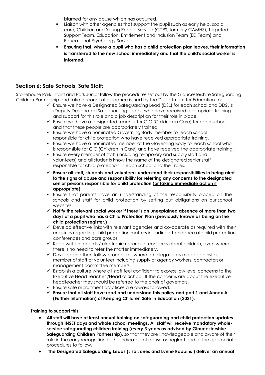blamed for any abuse which has occurred.

- Liaison with other agencies that support the pupil such as early help, social care, Children and Young People Service (CYPS, formerly CAMHS), Targeted Support Team, Education, Entitlement and Inclusion Team (EEI Team) and Educational Psychology Service.
- **Ensuring that, where a pupil who has a child protection plan leaves, their information is transferred to the new school immediately and that the child's social worker is informed.**

# **Section 6: Safe Schools, Safe Staff:**

Stonehouse Park Infant and Park Junior follow the procedures set out by the Gloucestershire Safeguarding Children Partnership and take account of guidance issued by the Department for Education to:

- ✓ Ensure we have a Designated Safeguarding Lead (DSL) for each school and DDSL's (Deputy Designated Safeguarding Leads) who have received appropriate training and support for this role and a job description for their role in place.
- ✓ Ensure we have a designated teacher for CIC (Children in Care) for each school and that these people are appropriately trained**.**
- $\checkmark$  Ensure we have a nominated Governing Body member for each school responsible for child protection who have received appropriate training.
- ✓ Ensure we have a nominated member of the Governing Body for each school who is responsible for CIC (Children in Care) and have received the appropriate training.
- ✓ Ensure every member of staff (including temporary and supply staff and volunteers) and all students know the name of the designated senior staff responsible for child protection in each school and their roles.
- ✓ **Ensure all staff, students and volunteers understand their responsibilities in being alert to the signs of abuse and responsibility for referring any concerns to the designated senior persons responsible for child protection (or taking immediate action if appropriate).**
- $\checkmark$  Ensure that parents have an understanding of the responsibility placed on the schools and staff for child protection by setting out obligations on our school websites.
- ✓ **Notify the relevant social worker if there is an unexplained absence of more than two days of a pupil who has a Child Protection Plan (previously known as being on the child protection register.)**
- $\checkmark$  Develop effective links with relevant agencies and co-operate as required with their enquiries regarding child protection matters including attendance at child protection conferences and core groups.
- ✓ Keep written records / electronic records of concerns about children, even where there is no need to refer the matter immediately.
- $\checkmark$  Develop and then follow procedures where an allegation is made against a member of staff or volunteer including supply or agency workers, contractorsor management committee members.
- $\checkmark$  Establish a culture where all staff feel confident to express low level concerns to the Executive Head Teacher /Head of School. If the concerns are about the executive headteacher they should be referred to the chair of governors.
- ✓ Ensure safe recruitment practices are always followed.
- ✓ **Ensure that all staff have read and understood this policy and part 1 and Annex A (Further Information) of Keeping Children Safe in Education (2021).**

#### **Training to support this:**

- **All staff will have at least annual training on safeguarding and child protection updates through INSET days and whole school meetings. All staff will receive mandatory wholeservice safeguarding children training (every 3 years as advised by Gloucestershire Safeguarding Children Partnership),** so that they are knowledgeable and aware of their role in the early recognition of the indicators of abuse or neglect and of the appropriate procedures to follow.
- **The Designated Safeguarding Leads (Lisa Jones and Lynne Robbins ) deliver an annual**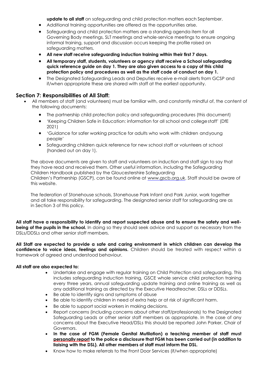**update to all staff** on safeguarding and child protection matters each September.

- Additional training opportunities are offered as the opportunities arise.
- Safeguarding and child protection matters are a standing agenda item for all Governing Body meetings, SLT meetings and whole-service meetings to ensure ongoing informal training, support and discussion occurs keeping the profile raised on safeguarding matters.
- **All new staff receive safeguarding induction training within their first 7 days.**
- **All temporary staff, students, volunteers or agency staff receive a School safeguarding quick reference guide on day 1. They are also given access to a copy of this child protection policy and procedures as well as the staff code of conduct on day 1.**
- The Designated Safeguarding Leads and Deputies receive e-mail alerts from GCSP and if/when appropriate these are shared with staff at the earliest opportunity.

# **Section 7: Responsibilities of All Staff:**

- All members of staff (and volunteers) must be familiar with, and constantly mindful of, the content of the following documents:
	- The partnership child protection policy and safeguarding procedures (this document)
	- 'Keeping Children Safe in Education: information for all school and collegestaff' (DfE 2021)
	- 'Guidance for safer working practice for adults who work with children andyoung people'
	- Safeguarding children quick reference for new school staff or volunteers at school (handed out on day 1).

The above documents are given to staff and volunteers on induction and staff sign to say that they have read and received them. Other useful information, including the Safeguarding Children Handbook published by the Gloucestershire Safeguarding Children's Partnership (GSCP), can be found online at [www.gscb.org.uk.](http://www.gscb.org.uk/) Staff should be aware of this website.

The federation of Stonehouse schools, Stonehouse Park Infant and Park Junior, work together and all take responsibility for safeguarding. The designated senior staff for safeguarding are as in Section 3 of this policy.

**All staff have a responsibility to identify and report suspected abuse and to ensure the safety and wellbeing of the pupils in the school.** In doing so they should seek advice and support as necessary from the DSLs/DDSLs and other senior staff members.

**All Staff are expected to provide a safe and caring environment in which children can develop the confidence to voice ideas, feelings and opinions.** Children should be treated with respect within a framework of agreed and understood behaviour.

#### **All staff are also expected to:**

- Undertake and engage with regular training on Child Protection and safeguarding. This includes safeguarding induction training, GSCE whole service child protection training every three years, annual safeguarding update training and online training as well as any additional training as directed by the Executive Headteacher, DSLs or DDSLs.
- Be able to identify signs and symptoms of abuse
- Be able to identify children in need of extra help or at risk of significant harm.
- Be able to support social workers in making decisions.
- Report concerns (including concerns about other staff/professionals) to the Designated Safeguarding Leads or other senior staff members as appropriate. In the case of any concerns about the Executive Head/DSLs this should be reported John Parker, Chair of Governors.
- **In the case of FGM (Female Genital Mutilation) a teaching member of staff must personally report to the police a disclosure that FGM has been carried out (in addition to liaising with the DSL). All other members of staff must inform the DSL.**
- Know how to make referrals to the Front Door Services (if/when appropriate)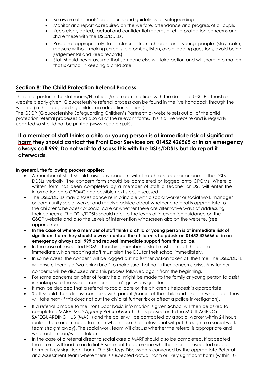- Be aware of schools' procedures and guidelines for safeguarding.
- Monitor and report as required on the welfare, attendance and progress of all pupils
- Keep clear, dated, factual and confidential records of child protection concerns and share these with the DSLs/DDSLs.
- Respond appropriately to disclosures from children and young people (stay calm, reassure without making unrealistic promises, listen, avoid leading questions, avoid being judgemental and keep records).
- Staff should never assume that someone else will take action and will share information that is critical in keeping a child safe.

# **Section 8: The Child Protection Referral Process:**

There is a poster in the staffrooms/HT offices/main admin offices with the details of GSC Partnership website clearly given. Gloucestershire referral process can be found in the live handbook through the website (in the safeguarding children in education section')

The GSCP (Gloucestershire Safeguarding Children's Partnership) website sets out all of the child protection referral processes and also all of the relevant forms. This is a live website and is regularly updated so should not be printed [\(www.gscb.org.uk\)](http://www.gscb.org.uk/).

# **If a member of staff thinks a child or young person is at immediate risk of significant harm they should contact the Front Door Services on: 01452 426565 or in an emergency always call 999. Do not wait to discuss this with the DSLs/DDSLs but do report it afterwards.**

#### **In general, the following process applies:**

- A member of staff should raise any concern with the child's teacher or one of the DSLs or DDSLs verbally. The concern form should be completed or logged onto CPOMs. Where a written form has been completed by a member of staff a teacher or DSL will enter the information onto CPOMS and possible next steps discussed.
- The DSLs/DDSLs may discuss concerns in principle with a social worker or social work manager or community social worker and receive advice about whether a referral is appropriate to the children's helpdesk or social care or whether there are alternative ways of addressing their concerns. The DSLs/DDSLs should refer to the levels of intervention guidance on the GSCP website and also the Levels of intervention windscreen also on the website. (see appendix 5)
- **In the case of where a member of staff thinks a child or young person is at immediate risk of significant harm they should always contact the children's helpdesk on 01452 426565 or in an emergency always call 999 and request immediate support from the police.**
- In the case of suspected FGM a teaching member of staff must contact the police immediately. Non teaching staff must alert the DSL for their school immediately.
- In some cases, the concern will be logged but no further action taken at the time. The DSLs/DDSL will ensure there is a 'watching brief' to make sure that no further concerns arise. Any further concerns will be discussed and this process followed again from the beginning.
- For some concerns an offer of 'early help' might be made to the family or young person to assist in making sure the issue or concern doesn't grow any greater.
- It may be decided that a referral to social care or the children's helpdesk is appropriate.
- Staff should then discuss concerns with parents/carers of the child and explain what steps they will take next (if this does not put the child at further risk or affect a police investigation).
- If a referral is made to the Front Door basic information is given.School will then be asked to complete a MARF (*Multi Agency Referral Form)*. This is passed on tothe MULTI-AGENCY SAFEGUARDING HUB (MASH) and the caller will be contacted by a social worker within 24 hours (unless there are immediate risks in which case the professional will put through to a social work team straight away). The social work team will discuss whether the referral is appropriate and what action can/will be taken.
- In the case of a referral direct to social care a MARF should also be completed. If accepted the referral will lead to an Initial Assessment to determine whether there is suspected actual harm or likely significant harm. The Strategy Discussion is convened by the appropriate Referral and Assessment team where there is suspected actual harm or likely significant harm (within 10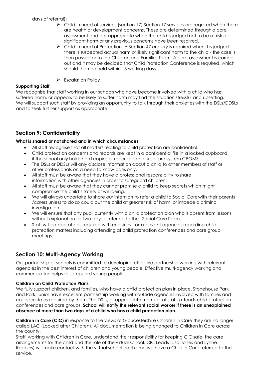days of referral):

- $\triangleright$  Child in need of services (section 17) Section 17 services are required when there are health or development concerns. These are determined through a core assessment and are appropriate when the child is judged not to be at risk of significant harm or any previous concerns have been resolved.
- $\triangleright$  Child in need of Protection. A Section 47 enquiry is required when it is judged there is suspected actual harm or likely significant harm to the child - the case is then passed onto the Children and Families Team. A core assessment is carried out and it may be decided that Child Protection Conference is required, which should then be held within 15 working days.
- ➢ Escalation Policy

# **Supporting Staff**

We recognise that staff working in our schools who have become involved with a child who has suffered harm, or appears to be likely to suffer harm may find the situation stressful and upsetting. We will support such staff by providing an opportunity to talk through their anxieties with the DSLs/DDSLs and to seek further support as appropriate.

# **Section 9: Confidentiality**

#### **What is shared or not shared and in which circumstances:**

- All staff recognise that all matters relating to child protection are confidential.
- Child protection concerns and records are kept in a confidential file in a locked cupboard if the school only holds hard copies or recorded on our secure system CPOMS
- The DSLs or DDSLs will only disclose information about a child to other members of staff or other professionals on a need to know basis only.
- All staff must be aware that they have a professional responsibility toshare information with other agencies in order to safeguard children.
- All staff must be aware that they cannot promise a child to keep secrets which might compromise the child's safety or wellbeing.
- We will always undertake to share our intention to refer a child to Social Carewith their parents /carers unless to do so could put the child at greater risk of harm, or impede a criminal investigation.
- We will ensure that any pupil currently with a child protection plan who is absent from lessons without explanation for two days is referred to their Social CareTeam.
- Staff will co-operate as required with enquiries from relevant agencies regarding child protection matters including attending at child protection conferences and core group meetings.

# **Section 10: Multi-Agency Working**

Our partnership of schools is committed to developing effective partnership working with relevant agencies in the best interest of children and young people. Effective multi-agency working and communication helps to safeguard young people.

#### **Children on Child Protection Plans**

We fully support children, and families, who have a child protection plan in place. Stonehouse Park and Park Junior have excellent partnership working with outside agencies involved with families and co- operate as required by them. The DSLs, or appropriate member of staff, attends child protection conferences and core groups. **School will notify the relevant social worker if there is an unexplained absence of more than two days of a child who has a child protection plan.**

**Children in Care (CIC)** in response to the views of Gloucestershire Children in Care they are no longer called LAC (Looked after Children). All documentation is being changed to Children in Care across the county.

Staff, working with Children in Care, understand their responsibility for keeping CIC safe; the care arrangements for the child and the role of the virtual school. CIC Leads (Lisa Jones and Lynne Robbins) will make contact with the virtual school each time we have a Child in Care referred to the service.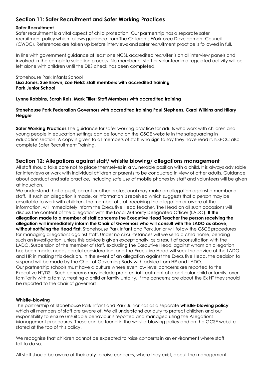# **Section 11: Safer Recruitment and Safer Working Practices**

#### **Safer Recruitment**

Safer recruitment is a vital aspect of child protection. Our partnership has a separate safer recruitment policy which follows guidance from The Children's Workforce Development Council (CWDC). References are taken up before interviews and safer recruitment practice is followed in full.

In line with government guidance at least one NCSL accredited recruiter is on all interview panels and involved in the complete selection process. No member of staff or volunteer in a regulated activity will be left alone with children until the DBS check has been completed.

Stonehouse Park Infants School **Lisa Jones, Sue Brown, Zoe Field: Staff members with accredited training Park Junior School** 

**Lynne Robbins, Sarah Reis, Mark Tiller: Staff Members with accredited training**

#### **Stonehouse Park Federation Governors with accredited training Paul Stephens, Carol Wilkins and Hilary Heggie**

**Safer Working Practices** The guidance for safer working practice for adults who work with children and young people in education settings can be found on the GSCE website in the safeguarding in education section. A copy is given to all members of staff who sign to say they have read it. NSPCC also complete Safer Recruitment Training.

# **Section 12: Allegations against staff/ whistle blowing/ allegations management**

All staff should take care not to place themselves in a vulnerable position with a child. It is always advisable for interviews or work with individual children or parents to be conducted in view of other adults. Guidance about conduct and safe practice, including safe use of mobile phones by staff and volunteers will be given at induction.

We understand that a pupil, parent or other professional may make an allegation against a member of staff. If such an allegation is made, or information is received which suggests that a person may be unsuitable to work with children, the member of staff receiving the allegation or aware of the information, will immediately inform the Executive Head teacher. The Head on all such occasions will discuss the content of the allegation with the Local Authority Designated Officer (LADO). **If the allegation made to a member of staff concerns the Executive Head Teacher the person receiving the allegation will immediately inform the Chair of Governors who will consult with the LADO as above, without notifying the Head first.** Stonehouse Park Infant and Park Junior will follow the GSCE procedures for managing allegations against staff. Under no circumstances will we send a child home, pending such an investigation, unless this advice is given exceptionally, as a result of aconsultation with the LADO. Suspension of the member of staff, excluding the Executive Head, against whom an allegation has been made, needs careful consideration, and the Executive Head will seek the advice of the LADO and HR in making this decision. In the event of an allegation against the Executive Head, the decision to suspend will be made by the Chair of Governing Body with advice from HR and LADO. Our partnership schools must have a culture where even low level concerns are reported to the Executive HT/DSL. Such concerns may include preferential treatment of a particular child or family, over familiarity with a family, treating a child or family unfairly. If the concerns are about the Ex HT they should be reported to the chair of governors.

#### **Whistle-blowing**

The partnership of Stonehouse Park Infant and Park Junior has as a separate **whistle-blowing policy**  which all members of staff are aware of. We all understand our duty to protect children and our responsibility to ensure unsuitable behaviour is reported and managed using the Allegations Management procedures. These can be found in the whistle-blowing policy and on the GCSE website stated at the top of this policy.

We recognise that children cannot be expected to raise concerns in an environment where staff fail to do so.

All staff should be aware of their duty to raise concerns, where they exist, about the management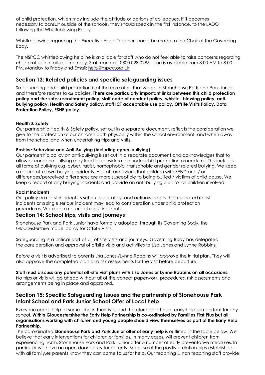of child protection, which may include the attitude or actions of colleagues. If it becomes necessary to consult outside of the schools, they should speak in the first instance, to the LADO following the Whistleblowing Policy.

Whistle-blowing regarding the Executive Head Teacher should be made to the Chair of the Governing Body.

The NSPCC whistleblowing helpline is available for staff who do not feel able to raise concerns regarding child protection failures internally. Staff can call: 0800 028 0285 – line is available from 8:00 AM to 8:00 PM, Monday to Friday and Email: [help@nspcc.org.uk](mailto:help@nspcc.org.uk)

# **Section 13: Related policies and specific safeguarding issues**

Safeguarding and child protection is at the core of all that we do in Stonehouse Park and Park Junior and therefore relates to *all* policies. **There are particularly important links between this child protection policy and the safer recruitment policy, staff code of conduct policy, whistle- blowing policy, antibullying policy, Health and Safety policy, staff ICT acceptable use policy, Offsite Visits Policy, Data Protection Policy, PSHE policy.** 

#### **Health & Safety**

Our partnership Health & Safety policy, set out in a separate document, reflects the consideration we give to the protection of our children both physically within the school environment, and when away from the school and when undertaking trips and visits.

#### **Positive Behaviour and Anti-Bullying (including cyber-bullying)**

Our partnership policy on anti-bullying is set out in a separate document and acknowledges that to allow or condone bullying may lead to consideration under child protection procedures. This includes all forms of bullying e.g. cyber, racist, homophobic, transphobic and gender related bullying. We keep a record of known bullying incidents. All staff are aware that children with SEND and / or differences/perceived differences are more susceptible to being bullied / victims of child abuse. We keep a record of any bullying incidents and provide an anti-bullying plan for all children involved.

#### **Racist Incidents**

Our policy on racist incidents is set out separately, and acknowledges that repeated racist incidents or a single serious incident may lead to consideration under child protection procedures. We keep a record of racist incidents.

# **Section 14: School trips, visits and journeys**

Stonehouse Park and Park Junior have formally adopted, through its Governing Body, the Gloucestershire model policy for Offsite Visits.

Safeguarding is a critical part of all offsite visits and journeys. Governing Body has delegated the consideration and approval of offsite visits and activities to Lisa Jones and Lynne Robbins.

Before a visit is advertised to parents Lisa Jones /Lynne Robbins will approve the initial plan. They will also approve the completed plan and risk assessments for the visit before departure.

**Staff must discuss any potential off-site visit plans with Lisa Jones or Lynne Robbins on all occasions.**  No trips or visits will go ahead without all of the correct paperwork, procedures, risk assessments and arrangements being in place and approved.

# **Section 15: Specific Safeguarding Issues and the partnership of Stonehouse Park Infant School and Park Junior School Offer of Local help**

Everyone needs help at some time in their lives and therefore an ethos of early help is important for any school. **Within Gloucestershire the Early Help Partnership is co-ordinated by Families First Plus but all organisations working with children and young people should view themselves as part of the Early Help Partnership**.

The co-ordinated **Stonehouse Park and Park Junior offer of early help** is outlined in the table below. We believe that early interventions for children or families, in many cases, will prevent children from experiencing harm. Stonehouse Park and Park Junior offer a number of early preventative measures. In particular we have an open-door policy for parents. Because of the positive relationships established with all family.es parents know they can come to us for help. Our teaching & non teaching staff provide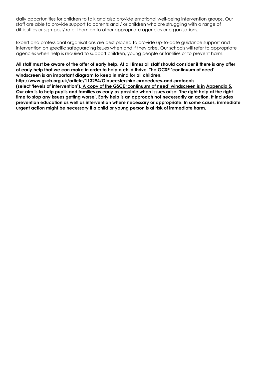daily opportunities for children to talk and also provide emotional well-being intervention groups. Our staff are able to provide support to parents and / or children who are struggling with a range of difficulties or sign-post/ refer them on to other appropriate agencies or organisations.

Expert and professional organisations are best placed to provide up-to-date guidance support and intervention on specific safeguarding issues when and if they arise. Our schools will refer to appropriate agencies when help is required to support children, young people or families or to prevent harm.

#### **All staff must be aware of the offer of early help. At all times all staff should consider if there is any offer of early help that we can make in order to help a child thrive. The GCSP 'continuum of need' windscreen is an important diagram to keep in mind for all children.**

**<http://www.gscb.org.uk/article/113294/Gloucestershire-procedures-and-protocols>**

**(select 'levels of intervention'). A copy of the GSCE 'continuum of need' windscreen is in Appendix 5. Our aim is to help pupils and families as early as possible when issues arise: 'the right help at the right time to stop any issues getting worse'. Early help is an approach not necessarily an action. It includes prevention education as well as intervention where necessary or appropriate. In some cases, immediate urgent action might be necessary if a child or young person is at risk of immediate harm.**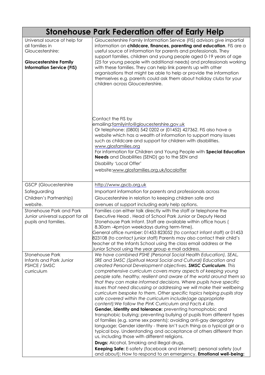|                                                                                                                                          | <b>Stonehouse Park Federation offer of Early Help</b>                                                                                                                                                                                                                                                                                                                                                                                                                                                                                                                                                                                                                                                                                                                                                                                                                                                                        |
|------------------------------------------------------------------------------------------------------------------------------------------|------------------------------------------------------------------------------------------------------------------------------------------------------------------------------------------------------------------------------------------------------------------------------------------------------------------------------------------------------------------------------------------------------------------------------------------------------------------------------------------------------------------------------------------------------------------------------------------------------------------------------------------------------------------------------------------------------------------------------------------------------------------------------------------------------------------------------------------------------------------------------------------------------------------------------|
| Universal source of help for<br>all families in<br>Gloucestershire:<br><b>Gloucestershire Family</b><br><b>Information Service (FIS)</b> | Gloucestershire Family Information Service (FIS) advisors give impartial<br>information on childcare, finances, parenting and education. FIS are a<br>useful source of information for parents and professionals. They<br>support families, children and young people aged 0-19 years of age<br>(25 for young people with additional needs) and professionals working<br>with these families. They can help link parents up with other<br>organisations that might be able to help or provide the information<br>themselves e.g. parents could ask them about holiday clubs for your<br>children across Gloucestershire.                                                                                                                                                                                                                                                                                                     |
|                                                                                                                                          | Contact the FIS by<br>emailing:familyinfo@gloucestershire.gov.uk<br>Or telephone: (0800) 542 0202 or (01452) 427362. FIS also have a<br>website which has a wealth of information to support many issues<br>such as childcare and support for children with disabilities.<br>www.glosfamilies.org<br>For information for Children and Young People with Special Education<br><b>Needs</b> and Disabilities (SEND) go to the SEN and<br>Disability 'Local Offer'<br>website:www.glosfamilies.org.uk/localoffer                                                                                                                                                                                                                                                                                                                                                                                                                |
| <b>GSCP</b> (Gloucestershire                                                                                                             | http://www.gscb.org.uk                                                                                                                                                                                                                                                                                                                                                                                                                                                                                                                                                                                                                                                                                                                                                                                                                                                                                                       |
| Safeguarding                                                                                                                             | Important information for parents and professionals across                                                                                                                                                                                                                                                                                                                                                                                                                                                                                                                                                                                                                                                                                                                                                                                                                                                                   |
| Children's Partnership)                                                                                                                  | Gloucestershire in relation to keeping children safe and                                                                                                                                                                                                                                                                                                                                                                                                                                                                                                                                                                                                                                                                                                                                                                                                                                                                     |
| website.                                                                                                                                 | avenues of support including early help options.                                                                                                                                                                                                                                                                                                                                                                                                                                                                                                                                                                                                                                                                                                                                                                                                                                                                             |
| <b>Stonehouse Park and Park</b><br>Junior universal support for all<br>pupils and families.                                              | Families can either talk directly with the staff or telephone the<br>Executive Head, Head of School Park Junior or Deputy Head<br>Stonehouse Park Infant. Staff are available within office hours (<br>8.30am -4pm) on weekdays during term-time).<br>General office number: 01453 823052 (to contact infant staff) or 01453<br>823108 (to contact junior staff) Parents may also contact their child's<br>teacher at the Infants School using the class email address or the<br>Junior School using the year group e mail address.                                                                                                                                                                                                                                                                                                                                                                                          |
| <b>Stonehouse Park</b>                                                                                                                   | We have combined PSHE (Personal Social Health Education), SEAL,                                                                                                                                                                                                                                                                                                                                                                                                                                                                                                                                                                                                                                                                                                                                                                                                                                                              |
| Infants and Park Junior                                                                                                                  | SRE and SMSC (Spiritual Moral Social and Cultural) Education and                                                                                                                                                                                                                                                                                                                                                                                                                                                                                                                                                                                                                                                                                                                                                                                                                                                             |
| PSHCE / SMSC<br>curriculum                                                                                                               | created Personal Development objectives. SMSC Curriculum. This<br>comprehensive curriculum covers many aspects of keeping young<br>people safe, healthy, resilient and aware of the world around them so<br>that they can make informed decisions. Where pupils have specific<br>issues that need discussing or addressing we will make their wellbeing<br>curriculum bespoke to them. Other specific topics helping pupils stay<br>safe covered within the curriculum include(age appropriate<br>content): We follow the PinK Curriculum and Facts 4 Life.<br>Gender, identity and tolerance: preventing homophobic and<br>transphobic bullying; preventing bullying of pupils from different types<br>of families (e.g. same sex parents); avoiding anti-gay derogatory<br>language; Gender identity - there isn't such thing as a typical girl or a<br>typical boy. Understanding and acceptance of others different than |
|                                                                                                                                          | us, including those with different religions.<br><b>Drugs:</b> Alcohol, Smoking and illegal drugs.                                                                                                                                                                                                                                                                                                                                                                                                                                                                                                                                                                                                                                                                                                                                                                                                                           |
|                                                                                                                                          | Keeping Safe: E-safety (facebook and internet); personal safety (out                                                                                                                                                                                                                                                                                                                                                                                                                                                                                                                                                                                                                                                                                                                                                                                                                                                         |
|                                                                                                                                          | and about); How to respond to an emergency. <b>Emotional well-being:</b>                                                                                                                                                                                                                                                                                                                                                                                                                                                                                                                                                                                                                                                                                                                                                                                                                                                     |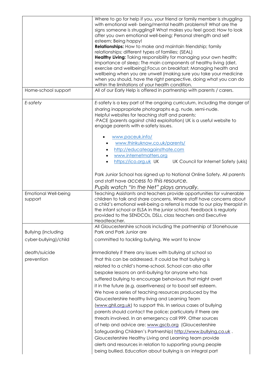|                                        | Where to go for help if you, your friend or family member is struggling<br>with emotional well- being/mental health problems? What are the<br>signs someone is struggling? What makes you feel good; How to look<br>after you own emotional well-being; Personal strength and self<br>esteem; Being happy!<br><b>Relationships:</b> How to make and maintain friendship; family<br>relationships; different types of families; (SEAL)<br>Healthy Living: Taking responsibility for managing your own health;<br>Importance of sleep; The main components of healthy living (diet,<br>exercise and wellbeing); Focus on breakfast; Managing health and<br>wellbeing when you are unwell (making sure you take your medicine<br>when you should, have the right perspective, doing what you can do<br>within the limitations of your health condition.                                                                                                                                                         |
|----------------------------------------|--------------------------------------------------------------------------------------------------------------------------------------------------------------------------------------------------------------------------------------------------------------------------------------------------------------------------------------------------------------------------------------------------------------------------------------------------------------------------------------------------------------------------------------------------------------------------------------------------------------------------------------------------------------------------------------------------------------------------------------------------------------------------------------------------------------------------------------------------------------------------------------------------------------------------------------------------------------------------------------------------------------|
| Home-school support                    | All of our Early Help is offered in partnership with parents / carers.                                                                                                                                                                                                                                                                                                                                                                                                                                                                                                                                                                                                                                                                                                                                                                                                                                                                                                                                       |
| E-safety                               | E-safety is a key part of the ongoing curriculum, including the danger of<br>sharing inappropriate photographs e.g. nude, semi-nude.<br>Helpful websites for teaching staff and parents:<br>-PACE (parents against child exploitation) UK is a useful website to<br>engage parents with e-safety issues.<br>www.paceuk.info/                                                                                                                                                                                                                                                                                                                                                                                                                                                                                                                                                                                                                                                                                 |
|                                        | www.thinkuknow.co.uk/parents/<br>http://educateagainsthate.com<br>www.internetmatters.org<br>UK Council for Internet Safety (ukis)<br>https://ico.org.uk UK                                                                                                                                                                                                                                                                                                                                                                                                                                                                                                                                                                                                                                                                                                                                                                                                                                                  |
|                                        | Park Junior School has signed up to National Online Safety. All parents<br>and staff have access to this resource.<br>Pupils watch "In the Net" plays annually.                                                                                                                                                                                                                                                                                                                                                                                                                                                                                                                                                                                                                                                                                                                                                                                                                                              |
| <b>Emotional Well-being</b><br>support | Teaching Assistants and teachers provide opportunities for vulnerable<br>children to talk and share concerns. Where staff have concerns about<br>a child's emotional well-being a referral is made to our play therapist in<br>the infant school or ELSA in the junior school. Feedback is regularly<br>provided to the SENDCOs, DSLs, class teachers and Executive<br>Headteacher.                                                                                                                                                                                                                                                                                                                                                                                                                                                                                                                                                                                                                          |
| <b>Bullying (including</b>             | All Gloucestershire schools including the partnership of Stonehouse<br>Park and Park Junior are                                                                                                                                                                                                                                                                                                                                                                                                                                                                                                                                                                                                                                                                                                                                                                                                                                                                                                              |
| cyber-bullying)/child                  | committed to tackling bullying. We want to know                                                                                                                                                                                                                                                                                                                                                                                                                                                                                                                                                                                                                                                                                                                                                                                                                                                                                                                                                              |
| death/suicide<br>prevention            | immediately if there any issues with bullying at school so<br>that this can be addressed. It could be that bullying is<br>related to a child's home-school. School can also offer<br>bespoke lessons on anti-bullying for anyone who has<br>suffered bullying to encourage behaviours that might avert<br>it in the future (e.g. assertiveness) or to boost self esteem.<br>We have a series of teaching resources produced by the<br>Gloucestershire healthy living and Learning Team<br>(www.ghll.org.uk) to support this. In serious cases of bullying<br>parents should contact the police; particularly if there are<br>threats involved. In an emergency call 999. Other sources<br>of help and advice are: www.gscb.org (Gloucestershire<br>Safeguarding Children's Partnership) http://www.bullying.co.uk.<br>Gloucestershire Healthy Living and Learning team provide<br>alerts and resources in relation to supporting young people<br>being bullied. Education about bullying is an integral part |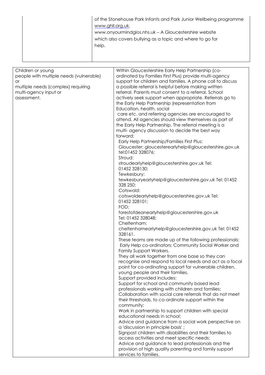| of the Stonehouse Park Infants and Park Junior Wellbeing programme<br>www.ghll.org.uk.<br>www.onyourmindglos.nhs.uk - A Gloucestershire website<br>which also covers bullying as a topic and where to go for<br>help. |  |
|-----------------------------------------------------------------------------------------------------------------------------------------------------------------------------------------------------------------------|--|
|-----------------------------------------------------------------------------------------------------------------------------------------------------------------------------------------------------------------------|--|

| Children or young                       | Within Gloucestershire Early Help Partnership (co-         |
|-----------------------------------------|------------------------------------------------------------|
| people with multiple needs (vulnerable) | ordinated by Families First Plus) provide multi-agency     |
| <b>or</b>                               | support for children and families. A phone call to discuss |
| multiple needs (complex) requiring      | a possible referral is helpful before making written       |
| multi-agency input or                   | referral. Parents must consent to a referral. School       |
| assessment.                             | actively seek support when appropriate. Referrals go to    |
|                                         | the Early Help Partnership (representation from            |
|                                         | Education, health, social                                  |
|                                         | care etc. and referring agencies are encouraged to         |
|                                         |                                                            |
|                                         | attend. All agencies should view themselves as part of     |
|                                         | the Early Help Partnership. The referral meeting is a      |
|                                         | multi- agency discussion to decide the best way            |
|                                         | forward:                                                   |
|                                         | Early Help Partnership/Families First Plus:                |
|                                         | Gloucester: gloucesterearlyhelp@gloucestershire.gov.uk     |
|                                         | tel:01452 328076;                                          |
|                                         | Stroud:                                                    |
|                                         | stroudearlyhelp@gloucestershire.gov.uk Tel:                |
|                                         | 01452 328130;                                              |
|                                         | Tewkesbury:                                                |
|                                         | tewkesburyearlyhelp@gloucestershire.gov.uk Tel: 01452      |
|                                         | 328 250;                                                   |
|                                         | Cotswold:                                                  |
|                                         | cotswoldearlyhelp@gloucestershire.gov.uk Tel:              |
|                                         | 01452 328101;                                              |
|                                         | FOD:                                                       |
|                                         | forestofdeanearlyhelp@gloucestershire.gov.uk               |
|                                         | Tel: 01452 328048;                                         |
|                                         | Cheltenham:                                                |
|                                         | cheltenhamearlyhelp@gloucestershire.gov.uk Tel: 01452      |
|                                         | 328161.                                                    |
|                                         | These teams are made up of the following professionals:    |
|                                         | Early Help co-ordinators; Community Social Worker and      |
|                                         | Family Support Workers.                                    |
|                                         | They all work together from one base so they can           |
|                                         |                                                            |
|                                         | recognise and respond to local needs and act as a focal    |
|                                         | point for co-ordinating support for vulnerable children,   |
|                                         | young people and their families.                           |
|                                         | Support provided includes:                                 |
|                                         | Support for school and community based lead                |
|                                         | professionals working with children and families;          |
|                                         | Collaboration with social care referrals that do not meet  |
|                                         | their thresholds, to co-ordinate support within the        |
|                                         | community;                                                 |
|                                         | Work in partnership to support children with special       |
|                                         | educational needs in school;                               |
|                                         | Advice and guidance from a social work perspective on      |
|                                         | a 'discussion in principle basis';                         |
|                                         | Signpost children with disabilities and their families to  |
|                                         | access activities and meet specific needs;                 |
|                                         | Advice and guidance to lead professionals and the          |
|                                         | provision of high quality parenting and family support     |
|                                         | services to families.                                      |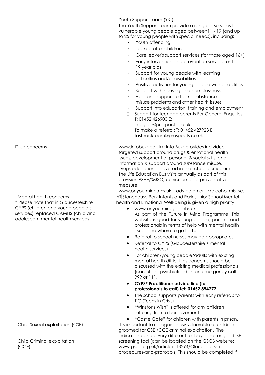|                                                                                                                                                         | Youth Support Team (YST):<br>The Youth Support Team provide a range of services for<br>vulnerable young people aged between11 - 19 (and up<br>to 25 for young people with special needs), including:<br>Youth offending<br>Looked after children<br>Care leaver's support services (for those aged 16+)<br>Early intervention and prevention service for 11 -<br>19 year olds<br>Support for young people with learning<br>difficulties and/or disabilities<br>Positive activities for young people with disabilities<br>Support with housing and homelessness<br>Help and support to tackle substance<br>misuse problems and other health issues<br>Support into education, training and employment<br>Support for teenage parents For General Enquiries:<br>$\Box$<br>T: 01452 426900 E:<br>info.glos@prospects.co.uk<br>To make a referral: T: 01452 427923 E:<br>fasttrackteam@prospects.co.uk                                                                                                            |
|---------------------------------------------------------------------------------------------------------------------------------------------------------|---------------------------------------------------------------------------------------------------------------------------------------------------------------------------------------------------------------------------------------------------------------------------------------------------------------------------------------------------------------------------------------------------------------------------------------------------------------------------------------------------------------------------------------------------------------------------------------------------------------------------------------------------------------------------------------------------------------------------------------------------------------------------------------------------------------------------------------------------------------------------------------------------------------------------------------------------------------------------------------------------------------|
| Drug concerns                                                                                                                                           | www.infobuzz.co.uk/: Info Buzz provides individual<br>targeted support around drugs & emotional health<br>issues, development of personal & social skills, and<br>information & support around substance misuse.<br>Drugs education is covered in the school curriculum.<br>The Life Education Bus visits annually as part of this<br>provision PSHE/SMSC) curriculum as a preventative<br>measure.                                                                                                                                                                                                                                                                                                                                                                                                                                                                                                                                                                                                           |
| Mental health concerns                                                                                                                                  | www.onyourmind.nhs.uk - advice on drug/alcohol misuse.<br>AT Stonehouse Park Infants and Park Junior School Mental                                                                                                                                                                                                                                                                                                                                                                                                                                                                                                                                                                                                                                                                                                                                                                                                                                                                                            |
| * Please note that in Gloucestershire<br>CYPS (children and young people's<br>services) replaced CAMHS (child and<br>adolescent mental health services) | health and Emotional Well-being is given a high priority.<br>www.onyourmindglos.nhs.uk<br>As part of the Future in Mind Programme. This<br>website is good for young people, parents and<br>professionals in terms of help with mental health<br>issues and where to go for help.<br>Referral to school nurses may be appropriate.<br>$\bullet$<br>Referral to CYPS (Gloucestershire's mental<br>$\bullet$<br>health services)<br>For children/young people/adults with existing<br>$\bullet$<br>mental health difficulties concerns should be<br>discussed with the existing medical professionals<br>(consultant psychiatrists). In an emergency call<br>999 or 111.<br><b>CYPS* Practitioner advice line (for</b><br>٠<br>professionals to call) tel: 01452 894272.<br>The school supports parents with early referrals to<br>$\bullet$<br>TIC (Teens in Crisis)<br>"Winstons Wish" is offered for any children<br>٠<br>suffering from a bereavement<br>"Castle Gate" for children with parents in prison. |
| Child Sexual exploitation (CSE)                                                                                                                         | It is important to recognise how vulnerable of children                                                                                                                                                                                                                                                                                                                                                                                                                                                                                                                                                                                                                                                                                                                                                                                                                                                                                                                                                       |
| Child Criminal exploitation<br>(CCE)                                                                                                                    | groomed for CSE / CCE criminal exploitation. The<br>indicators can be very different for boys and for girls. CSE<br>screening tool (can be located on the GSCB website:<br>www.gscb.org.uk/article/113294/Gloucestershire-<br>procedures-and-protocols) This should be completed if                                                                                                                                                                                                                                                                                                                                                                                                                                                                                                                                                                                                                                                                                                                           |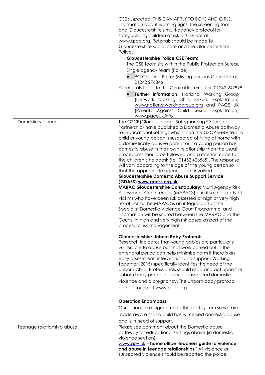| information about warning signs, the screening tool<br>and Gloucestershire's multi-agency protocol for<br>safeguarding children at risk of CSE are at<br>www.gscb.org. Referrals should be made to<br>Gloucestershire social care and the Gloucestershire<br>Police.<br><b>Gloucestershire Police CSE Team:</b><br>The CSE team sits within the Public Protection Bureau<br>Single agency team (Police)<br>PC Christina Pfister (Missing persons Coordinator)<br>01242 276846<br>All referrals to go to the Central Referral Unit 01242 247999<br>Further information: National Working Group<br>(Network tackling Child Sexual Exploitation)<br>www.nationalworkinggroup.org and PACE UK<br>(Parents Against Child Sexual Exploitation)<br>www.paceuk.info<br>The GSCP (Gloucestershire Safeguarding Children's<br>Domestic violence<br>Partnership) have published a Domestic Abuse pathway<br>for educational settings which is on the GSCP website. If a<br>child or young person is suspected of living at home with<br>a domestically abusive parent or if a young person has<br>domestic abuse in their own relationship then the usual<br>procedures should be followed and a referral made to<br>the children's helpdesk (tel: 01452 426565). The response<br>will vary according to the age of the young person so<br>that the appropriate agencies are involved.<br><b>Gloucestershire Domestic Abuse Support Service</b><br>(GDASS) www.gdass.org.uk<br>MARAC Gloucestershire Constabulary: Multi Agency Risk<br>Assessment Conferences (MARACs) prioritise the safety of<br>victims who have been risk assessed at high or very high<br>risk of harm. The MARAC is an integral part of the<br>Specialist Domestic Violence Court Programme, and<br>information will be shared between the MARAC and the<br>Courts, in high and very high risk cases, as part of the<br>process of risk management.<br><b>Gloucestershire Unborn Baby Protocol:</b><br>Research indicates that young babies are particularly<br>vulnerable to abuse but that work carried out in the<br>antenatal period can help minimise harm if there is an<br>early assessment, intervention and support. Working<br>Together (2015) specifically identifies the need of the<br>Unborn Child. Professionals should read and act upon the<br>unborn baby protocol if there is suspected domestic<br>violence and a pregnancy. The unborn baby protocol<br>can be found at www.gscb.org<br><b>Operation Encompass</b><br>Our schools are signed up to this alert system so we are<br>made aware that a child has witnessed domestic abuse<br>and is in need of support.<br>Teenage relationship abuse<br>Please see comment about the Domestic abuse<br>pathway for educational settings above (in domestic<br>violence section).<br>www.gov.uk - home office 'teachers guide to violence<br>and abuse in teenage relationships.' All violence or<br>suspected violence should be reported the police | CSE suspected. THIS CAN APPLY TO BOYS AND GIRLS. |
|-------------------------------------------------------------------------------------------------------------------------------------------------------------------------------------------------------------------------------------------------------------------------------------------------------------------------------------------------------------------------------------------------------------------------------------------------------------------------------------------------------------------------------------------------------------------------------------------------------------------------------------------------------------------------------------------------------------------------------------------------------------------------------------------------------------------------------------------------------------------------------------------------------------------------------------------------------------------------------------------------------------------------------------------------------------------------------------------------------------------------------------------------------------------------------------------------------------------------------------------------------------------------------------------------------------------------------------------------------------------------------------------------------------------------------------------------------------------------------------------------------------------------------------------------------------------------------------------------------------------------------------------------------------------------------------------------------------------------------------------------------------------------------------------------------------------------------------------------------------------------------------------------------------------------------------------------------------------------------------------------------------------------------------------------------------------------------------------------------------------------------------------------------------------------------------------------------------------------------------------------------------------------------------------------------------------------------------------------------------------------------------------------------------------------------------------------------------------------------------------------------------------------------------------------------------------------------------------------------------------------------------------------------------------------------------------------------------------------------------------------------------------------------------------------------------------------------------------------------------------------------------------------------------------------------------------------------------------------------------|--------------------------------------------------|
|                                                                                                                                                                                                                                                                                                                                                                                                                                                                                                                                                                                                                                                                                                                                                                                                                                                                                                                                                                                                                                                                                                                                                                                                                                                                                                                                                                                                                                                                                                                                                                                                                                                                                                                                                                                                                                                                                                                                                                                                                                                                                                                                                                                                                                                                                                                                                                                                                                                                                                                                                                                                                                                                                                                                                                                                                                                                                                                                                                                     |                                                  |
|                                                                                                                                                                                                                                                                                                                                                                                                                                                                                                                                                                                                                                                                                                                                                                                                                                                                                                                                                                                                                                                                                                                                                                                                                                                                                                                                                                                                                                                                                                                                                                                                                                                                                                                                                                                                                                                                                                                                                                                                                                                                                                                                                                                                                                                                                                                                                                                                                                                                                                                                                                                                                                                                                                                                                                                                                                                                                                                                                                                     |                                                  |
|                                                                                                                                                                                                                                                                                                                                                                                                                                                                                                                                                                                                                                                                                                                                                                                                                                                                                                                                                                                                                                                                                                                                                                                                                                                                                                                                                                                                                                                                                                                                                                                                                                                                                                                                                                                                                                                                                                                                                                                                                                                                                                                                                                                                                                                                                                                                                                                                                                                                                                                                                                                                                                                                                                                                                                                                                                                                                                                                                                                     |                                                  |
|                                                                                                                                                                                                                                                                                                                                                                                                                                                                                                                                                                                                                                                                                                                                                                                                                                                                                                                                                                                                                                                                                                                                                                                                                                                                                                                                                                                                                                                                                                                                                                                                                                                                                                                                                                                                                                                                                                                                                                                                                                                                                                                                                                                                                                                                                                                                                                                                                                                                                                                                                                                                                                                                                                                                                                                                                                                                                                                                                                                     |                                                  |
|                                                                                                                                                                                                                                                                                                                                                                                                                                                                                                                                                                                                                                                                                                                                                                                                                                                                                                                                                                                                                                                                                                                                                                                                                                                                                                                                                                                                                                                                                                                                                                                                                                                                                                                                                                                                                                                                                                                                                                                                                                                                                                                                                                                                                                                                                                                                                                                                                                                                                                                                                                                                                                                                                                                                                                                                                                                                                                                                                                                     |                                                  |
|                                                                                                                                                                                                                                                                                                                                                                                                                                                                                                                                                                                                                                                                                                                                                                                                                                                                                                                                                                                                                                                                                                                                                                                                                                                                                                                                                                                                                                                                                                                                                                                                                                                                                                                                                                                                                                                                                                                                                                                                                                                                                                                                                                                                                                                                                                                                                                                                                                                                                                                                                                                                                                                                                                                                                                                                                                                                                                                                                                                     |                                                  |
|                                                                                                                                                                                                                                                                                                                                                                                                                                                                                                                                                                                                                                                                                                                                                                                                                                                                                                                                                                                                                                                                                                                                                                                                                                                                                                                                                                                                                                                                                                                                                                                                                                                                                                                                                                                                                                                                                                                                                                                                                                                                                                                                                                                                                                                                                                                                                                                                                                                                                                                                                                                                                                                                                                                                                                                                                                                                                                                                                                                     |                                                  |
|                                                                                                                                                                                                                                                                                                                                                                                                                                                                                                                                                                                                                                                                                                                                                                                                                                                                                                                                                                                                                                                                                                                                                                                                                                                                                                                                                                                                                                                                                                                                                                                                                                                                                                                                                                                                                                                                                                                                                                                                                                                                                                                                                                                                                                                                                                                                                                                                                                                                                                                                                                                                                                                                                                                                                                                                                                                                                                                                                                                     |                                                  |
|                                                                                                                                                                                                                                                                                                                                                                                                                                                                                                                                                                                                                                                                                                                                                                                                                                                                                                                                                                                                                                                                                                                                                                                                                                                                                                                                                                                                                                                                                                                                                                                                                                                                                                                                                                                                                                                                                                                                                                                                                                                                                                                                                                                                                                                                                                                                                                                                                                                                                                                                                                                                                                                                                                                                                                                                                                                                                                                                                                                     |                                                  |
|                                                                                                                                                                                                                                                                                                                                                                                                                                                                                                                                                                                                                                                                                                                                                                                                                                                                                                                                                                                                                                                                                                                                                                                                                                                                                                                                                                                                                                                                                                                                                                                                                                                                                                                                                                                                                                                                                                                                                                                                                                                                                                                                                                                                                                                                                                                                                                                                                                                                                                                                                                                                                                                                                                                                                                                                                                                                                                                                                                                     |                                                  |
|                                                                                                                                                                                                                                                                                                                                                                                                                                                                                                                                                                                                                                                                                                                                                                                                                                                                                                                                                                                                                                                                                                                                                                                                                                                                                                                                                                                                                                                                                                                                                                                                                                                                                                                                                                                                                                                                                                                                                                                                                                                                                                                                                                                                                                                                                                                                                                                                                                                                                                                                                                                                                                                                                                                                                                                                                                                                                                                                                                                     |                                                  |
|                                                                                                                                                                                                                                                                                                                                                                                                                                                                                                                                                                                                                                                                                                                                                                                                                                                                                                                                                                                                                                                                                                                                                                                                                                                                                                                                                                                                                                                                                                                                                                                                                                                                                                                                                                                                                                                                                                                                                                                                                                                                                                                                                                                                                                                                                                                                                                                                                                                                                                                                                                                                                                                                                                                                                                                                                                                                                                                                                                                     |                                                  |
|                                                                                                                                                                                                                                                                                                                                                                                                                                                                                                                                                                                                                                                                                                                                                                                                                                                                                                                                                                                                                                                                                                                                                                                                                                                                                                                                                                                                                                                                                                                                                                                                                                                                                                                                                                                                                                                                                                                                                                                                                                                                                                                                                                                                                                                                                                                                                                                                                                                                                                                                                                                                                                                                                                                                                                                                                                                                                                                                                                                     |                                                  |
|                                                                                                                                                                                                                                                                                                                                                                                                                                                                                                                                                                                                                                                                                                                                                                                                                                                                                                                                                                                                                                                                                                                                                                                                                                                                                                                                                                                                                                                                                                                                                                                                                                                                                                                                                                                                                                                                                                                                                                                                                                                                                                                                                                                                                                                                                                                                                                                                                                                                                                                                                                                                                                                                                                                                                                                                                                                                                                                                                                                     |                                                  |
|                                                                                                                                                                                                                                                                                                                                                                                                                                                                                                                                                                                                                                                                                                                                                                                                                                                                                                                                                                                                                                                                                                                                                                                                                                                                                                                                                                                                                                                                                                                                                                                                                                                                                                                                                                                                                                                                                                                                                                                                                                                                                                                                                                                                                                                                                                                                                                                                                                                                                                                                                                                                                                                                                                                                                                                                                                                                                                                                                                                     |                                                  |
|                                                                                                                                                                                                                                                                                                                                                                                                                                                                                                                                                                                                                                                                                                                                                                                                                                                                                                                                                                                                                                                                                                                                                                                                                                                                                                                                                                                                                                                                                                                                                                                                                                                                                                                                                                                                                                                                                                                                                                                                                                                                                                                                                                                                                                                                                                                                                                                                                                                                                                                                                                                                                                                                                                                                                                                                                                                                                                                                                                                     |                                                  |
|                                                                                                                                                                                                                                                                                                                                                                                                                                                                                                                                                                                                                                                                                                                                                                                                                                                                                                                                                                                                                                                                                                                                                                                                                                                                                                                                                                                                                                                                                                                                                                                                                                                                                                                                                                                                                                                                                                                                                                                                                                                                                                                                                                                                                                                                                                                                                                                                                                                                                                                                                                                                                                                                                                                                                                                                                                                                                                                                                                                     |                                                  |
|                                                                                                                                                                                                                                                                                                                                                                                                                                                                                                                                                                                                                                                                                                                                                                                                                                                                                                                                                                                                                                                                                                                                                                                                                                                                                                                                                                                                                                                                                                                                                                                                                                                                                                                                                                                                                                                                                                                                                                                                                                                                                                                                                                                                                                                                                                                                                                                                                                                                                                                                                                                                                                                                                                                                                                                                                                                                                                                                                                                     |                                                  |
|                                                                                                                                                                                                                                                                                                                                                                                                                                                                                                                                                                                                                                                                                                                                                                                                                                                                                                                                                                                                                                                                                                                                                                                                                                                                                                                                                                                                                                                                                                                                                                                                                                                                                                                                                                                                                                                                                                                                                                                                                                                                                                                                                                                                                                                                                                                                                                                                                                                                                                                                                                                                                                                                                                                                                                                                                                                                                                                                                                                     |                                                  |
|                                                                                                                                                                                                                                                                                                                                                                                                                                                                                                                                                                                                                                                                                                                                                                                                                                                                                                                                                                                                                                                                                                                                                                                                                                                                                                                                                                                                                                                                                                                                                                                                                                                                                                                                                                                                                                                                                                                                                                                                                                                                                                                                                                                                                                                                                                                                                                                                                                                                                                                                                                                                                                                                                                                                                                                                                                                                                                                                                                                     |                                                  |
|                                                                                                                                                                                                                                                                                                                                                                                                                                                                                                                                                                                                                                                                                                                                                                                                                                                                                                                                                                                                                                                                                                                                                                                                                                                                                                                                                                                                                                                                                                                                                                                                                                                                                                                                                                                                                                                                                                                                                                                                                                                                                                                                                                                                                                                                                                                                                                                                                                                                                                                                                                                                                                                                                                                                                                                                                                                                                                                                                                                     |                                                  |
|                                                                                                                                                                                                                                                                                                                                                                                                                                                                                                                                                                                                                                                                                                                                                                                                                                                                                                                                                                                                                                                                                                                                                                                                                                                                                                                                                                                                                                                                                                                                                                                                                                                                                                                                                                                                                                                                                                                                                                                                                                                                                                                                                                                                                                                                                                                                                                                                                                                                                                                                                                                                                                                                                                                                                                                                                                                                                                                                                                                     |                                                  |
|                                                                                                                                                                                                                                                                                                                                                                                                                                                                                                                                                                                                                                                                                                                                                                                                                                                                                                                                                                                                                                                                                                                                                                                                                                                                                                                                                                                                                                                                                                                                                                                                                                                                                                                                                                                                                                                                                                                                                                                                                                                                                                                                                                                                                                                                                                                                                                                                                                                                                                                                                                                                                                                                                                                                                                                                                                                                                                                                                                                     |                                                  |
|                                                                                                                                                                                                                                                                                                                                                                                                                                                                                                                                                                                                                                                                                                                                                                                                                                                                                                                                                                                                                                                                                                                                                                                                                                                                                                                                                                                                                                                                                                                                                                                                                                                                                                                                                                                                                                                                                                                                                                                                                                                                                                                                                                                                                                                                                                                                                                                                                                                                                                                                                                                                                                                                                                                                                                                                                                                                                                                                                                                     |                                                  |
|                                                                                                                                                                                                                                                                                                                                                                                                                                                                                                                                                                                                                                                                                                                                                                                                                                                                                                                                                                                                                                                                                                                                                                                                                                                                                                                                                                                                                                                                                                                                                                                                                                                                                                                                                                                                                                                                                                                                                                                                                                                                                                                                                                                                                                                                                                                                                                                                                                                                                                                                                                                                                                                                                                                                                                                                                                                                                                                                                                                     |                                                  |
|                                                                                                                                                                                                                                                                                                                                                                                                                                                                                                                                                                                                                                                                                                                                                                                                                                                                                                                                                                                                                                                                                                                                                                                                                                                                                                                                                                                                                                                                                                                                                                                                                                                                                                                                                                                                                                                                                                                                                                                                                                                                                                                                                                                                                                                                                                                                                                                                                                                                                                                                                                                                                                                                                                                                                                                                                                                                                                                                                                                     |                                                  |
|                                                                                                                                                                                                                                                                                                                                                                                                                                                                                                                                                                                                                                                                                                                                                                                                                                                                                                                                                                                                                                                                                                                                                                                                                                                                                                                                                                                                                                                                                                                                                                                                                                                                                                                                                                                                                                                                                                                                                                                                                                                                                                                                                                                                                                                                                                                                                                                                                                                                                                                                                                                                                                                                                                                                                                                                                                                                                                                                                                                     |                                                  |
|                                                                                                                                                                                                                                                                                                                                                                                                                                                                                                                                                                                                                                                                                                                                                                                                                                                                                                                                                                                                                                                                                                                                                                                                                                                                                                                                                                                                                                                                                                                                                                                                                                                                                                                                                                                                                                                                                                                                                                                                                                                                                                                                                                                                                                                                                                                                                                                                                                                                                                                                                                                                                                                                                                                                                                                                                                                                                                                                                                                     |                                                  |
|                                                                                                                                                                                                                                                                                                                                                                                                                                                                                                                                                                                                                                                                                                                                                                                                                                                                                                                                                                                                                                                                                                                                                                                                                                                                                                                                                                                                                                                                                                                                                                                                                                                                                                                                                                                                                                                                                                                                                                                                                                                                                                                                                                                                                                                                                                                                                                                                                                                                                                                                                                                                                                                                                                                                                                                                                                                                                                                                                                                     |                                                  |
|                                                                                                                                                                                                                                                                                                                                                                                                                                                                                                                                                                                                                                                                                                                                                                                                                                                                                                                                                                                                                                                                                                                                                                                                                                                                                                                                                                                                                                                                                                                                                                                                                                                                                                                                                                                                                                                                                                                                                                                                                                                                                                                                                                                                                                                                                                                                                                                                                                                                                                                                                                                                                                                                                                                                                                                                                                                                                                                                                                                     |                                                  |
|                                                                                                                                                                                                                                                                                                                                                                                                                                                                                                                                                                                                                                                                                                                                                                                                                                                                                                                                                                                                                                                                                                                                                                                                                                                                                                                                                                                                                                                                                                                                                                                                                                                                                                                                                                                                                                                                                                                                                                                                                                                                                                                                                                                                                                                                                                                                                                                                                                                                                                                                                                                                                                                                                                                                                                                                                                                                                                                                                                                     |                                                  |
|                                                                                                                                                                                                                                                                                                                                                                                                                                                                                                                                                                                                                                                                                                                                                                                                                                                                                                                                                                                                                                                                                                                                                                                                                                                                                                                                                                                                                                                                                                                                                                                                                                                                                                                                                                                                                                                                                                                                                                                                                                                                                                                                                                                                                                                                                                                                                                                                                                                                                                                                                                                                                                                                                                                                                                                                                                                                                                                                                                                     |                                                  |
|                                                                                                                                                                                                                                                                                                                                                                                                                                                                                                                                                                                                                                                                                                                                                                                                                                                                                                                                                                                                                                                                                                                                                                                                                                                                                                                                                                                                                                                                                                                                                                                                                                                                                                                                                                                                                                                                                                                                                                                                                                                                                                                                                                                                                                                                                                                                                                                                                                                                                                                                                                                                                                                                                                                                                                                                                                                                                                                                                                                     |                                                  |
|                                                                                                                                                                                                                                                                                                                                                                                                                                                                                                                                                                                                                                                                                                                                                                                                                                                                                                                                                                                                                                                                                                                                                                                                                                                                                                                                                                                                                                                                                                                                                                                                                                                                                                                                                                                                                                                                                                                                                                                                                                                                                                                                                                                                                                                                                                                                                                                                                                                                                                                                                                                                                                                                                                                                                                                                                                                                                                                                                                                     |                                                  |
|                                                                                                                                                                                                                                                                                                                                                                                                                                                                                                                                                                                                                                                                                                                                                                                                                                                                                                                                                                                                                                                                                                                                                                                                                                                                                                                                                                                                                                                                                                                                                                                                                                                                                                                                                                                                                                                                                                                                                                                                                                                                                                                                                                                                                                                                                                                                                                                                                                                                                                                                                                                                                                                                                                                                                                                                                                                                                                                                                                                     |                                                  |
|                                                                                                                                                                                                                                                                                                                                                                                                                                                                                                                                                                                                                                                                                                                                                                                                                                                                                                                                                                                                                                                                                                                                                                                                                                                                                                                                                                                                                                                                                                                                                                                                                                                                                                                                                                                                                                                                                                                                                                                                                                                                                                                                                                                                                                                                                                                                                                                                                                                                                                                                                                                                                                                                                                                                                                                                                                                                                                                                                                                     |                                                  |
|                                                                                                                                                                                                                                                                                                                                                                                                                                                                                                                                                                                                                                                                                                                                                                                                                                                                                                                                                                                                                                                                                                                                                                                                                                                                                                                                                                                                                                                                                                                                                                                                                                                                                                                                                                                                                                                                                                                                                                                                                                                                                                                                                                                                                                                                                                                                                                                                                                                                                                                                                                                                                                                                                                                                                                                                                                                                                                                                                                                     |                                                  |
|                                                                                                                                                                                                                                                                                                                                                                                                                                                                                                                                                                                                                                                                                                                                                                                                                                                                                                                                                                                                                                                                                                                                                                                                                                                                                                                                                                                                                                                                                                                                                                                                                                                                                                                                                                                                                                                                                                                                                                                                                                                                                                                                                                                                                                                                                                                                                                                                                                                                                                                                                                                                                                                                                                                                                                                                                                                                                                                                                                                     |                                                  |
|                                                                                                                                                                                                                                                                                                                                                                                                                                                                                                                                                                                                                                                                                                                                                                                                                                                                                                                                                                                                                                                                                                                                                                                                                                                                                                                                                                                                                                                                                                                                                                                                                                                                                                                                                                                                                                                                                                                                                                                                                                                                                                                                                                                                                                                                                                                                                                                                                                                                                                                                                                                                                                                                                                                                                                                                                                                                                                                                                                                     |                                                  |
|                                                                                                                                                                                                                                                                                                                                                                                                                                                                                                                                                                                                                                                                                                                                                                                                                                                                                                                                                                                                                                                                                                                                                                                                                                                                                                                                                                                                                                                                                                                                                                                                                                                                                                                                                                                                                                                                                                                                                                                                                                                                                                                                                                                                                                                                                                                                                                                                                                                                                                                                                                                                                                                                                                                                                                                                                                                                                                                                                                                     |                                                  |
|                                                                                                                                                                                                                                                                                                                                                                                                                                                                                                                                                                                                                                                                                                                                                                                                                                                                                                                                                                                                                                                                                                                                                                                                                                                                                                                                                                                                                                                                                                                                                                                                                                                                                                                                                                                                                                                                                                                                                                                                                                                                                                                                                                                                                                                                                                                                                                                                                                                                                                                                                                                                                                                                                                                                                                                                                                                                                                                                                                                     |                                                  |
|                                                                                                                                                                                                                                                                                                                                                                                                                                                                                                                                                                                                                                                                                                                                                                                                                                                                                                                                                                                                                                                                                                                                                                                                                                                                                                                                                                                                                                                                                                                                                                                                                                                                                                                                                                                                                                                                                                                                                                                                                                                                                                                                                                                                                                                                                                                                                                                                                                                                                                                                                                                                                                                                                                                                                                                                                                                                                                                                                                                     |                                                  |
|                                                                                                                                                                                                                                                                                                                                                                                                                                                                                                                                                                                                                                                                                                                                                                                                                                                                                                                                                                                                                                                                                                                                                                                                                                                                                                                                                                                                                                                                                                                                                                                                                                                                                                                                                                                                                                                                                                                                                                                                                                                                                                                                                                                                                                                                                                                                                                                                                                                                                                                                                                                                                                                                                                                                                                                                                                                                                                                                                                                     |                                                  |
|                                                                                                                                                                                                                                                                                                                                                                                                                                                                                                                                                                                                                                                                                                                                                                                                                                                                                                                                                                                                                                                                                                                                                                                                                                                                                                                                                                                                                                                                                                                                                                                                                                                                                                                                                                                                                                                                                                                                                                                                                                                                                                                                                                                                                                                                                                                                                                                                                                                                                                                                                                                                                                                                                                                                                                                                                                                                                                                                                                                     |                                                  |
|                                                                                                                                                                                                                                                                                                                                                                                                                                                                                                                                                                                                                                                                                                                                                                                                                                                                                                                                                                                                                                                                                                                                                                                                                                                                                                                                                                                                                                                                                                                                                                                                                                                                                                                                                                                                                                                                                                                                                                                                                                                                                                                                                                                                                                                                                                                                                                                                                                                                                                                                                                                                                                                                                                                                                                                                                                                                                                                                                                                     |                                                  |
|                                                                                                                                                                                                                                                                                                                                                                                                                                                                                                                                                                                                                                                                                                                                                                                                                                                                                                                                                                                                                                                                                                                                                                                                                                                                                                                                                                                                                                                                                                                                                                                                                                                                                                                                                                                                                                                                                                                                                                                                                                                                                                                                                                                                                                                                                                                                                                                                                                                                                                                                                                                                                                                                                                                                                                                                                                                                                                                                                                                     |                                                  |
|                                                                                                                                                                                                                                                                                                                                                                                                                                                                                                                                                                                                                                                                                                                                                                                                                                                                                                                                                                                                                                                                                                                                                                                                                                                                                                                                                                                                                                                                                                                                                                                                                                                                                                                                                                                                                                                                                                                                                                                                                                                                                                                                                                                                                                                                                                                                                                                                                                                                                                                                                                                                                                                                                                                                                                                                                                                                                                                                                                                     |                                                  |
|                                                                                                                                                                                                                                                                                                                                                                                                                                                                                                                                                                                                                                                                                                                                                                                                                                                                                                                                                                                                                                                                                                                                                                                                                                                                                                                                                                                                                                                                                                                                                                                                                                                                                                                                                                                                                                                                                                                                                                                                                                                                                                                                                                                                                                                                                                                                                                                                                                                                                                                                                                                                                                                                                                                                                                                                                                                                                                                                                                                     |                                                  |
|                                                                                                                                                                                                                                                                                                                                                                                                                                                                                                                                                                                                                                                                                                                                                                                                                                                                                                                                                                                                                                                                                                                                                                                                                                                                                                                                                                                                                                                                                                                                                                                                                                                                                                                                                                                                                                                                                                                                                                                                                                                                                                                                                                                                                                                                                                                                                                                                                                                                                                                                                                                                                                                                                                                                                                                                                                                                                                                                                                                     |                                                  |
|                                                                                                                                                                                                                                                                                                                                                                                                                                                                                                                                                                                                                                                                                                                                                                                                                                                                                                                                                                                                                                                                                                                                                                                                                                                                                                                                                                                                                                                                                                                                                                                                                                                                                                                                                                                                                                                                                                                                                                                                                                                                                                                                                                                                                                                                                                                                                                                                                                                                                                                                                                                                                                                                                                                                                                                                                                                                                                                                                                                     |                                                  |
|                                                                                                                                                                                                                                                                                                                                                                                                                                                                                                                                                                                                                                                                                                                                                                                                                                                                                                                                                                                                                                                                                                                                                                                                                                                                                                                                                                                                                                                                                                                                                                                                                                                                                                                                                                                                                                                                                                                                                                                                                                                                                                                                                                                                                                                                                                                                                                                                                                                                                                                                                                                                                                                                                                                                                                                                                                                                                                                                                                                     |                                                  |
|                                                                                                                                                                                                                                                                                                                                                                                                                                                                                                                                                                                                                                                                                                                                                                                                                                                                                                                                                                                                                                                                                                                                                                                                                                                                                                                                                                                                                                                                                                                                                                                                                                                                                                                                                                                                                                                                                                                                                                                                                                                                                                                                                                                                                                                                                                                                                                                                                                                                                                                                                                                                                                                                                                                                                                                                                                                                                                                                                                                     |                                                  |
|                                                                                                                                                                                                                                                                                                                                                                                                                                                                                                                                                                                                                                                                                                                                                                                                                                                                                                                                                                                                                                                                                                                                                                                                                                                                                                                                                                                                                                                                                                                                                                                                                                                                                                                                                                                                                                                                                                                                                                                                                                                                                                                                                                                                                                                                                                                                                                                                                                                                                                                                                                                                                                                                                                                                                                                                                                                                                                                                                                                     |                                                  |
|                                                                                                                                                                                                                                                                                                                                                                                                                                                                                                                                                                                                                                                                                                                                                                                                                                                                                                                                                                                                                                                                                                                                                                                                                                                                                                                                                                                                                                                                                                                                                                                                                                                                                                                                                                                                                                                                                                                                                                                                                                                                                                                                                                                                                                                                                                                                                                                                                                                                                                                                                                                                                                                                                                                                                                                                                                                                                                                                                                                     |                                                  |
|                                                                                                                                                                                                                                                                                                                                                                                                                                                                                                                                                                                                                                                                                                                                                                                                                                                                                                                                                                                                                                                                                                                                                                                                                                                                                                                                                                                                                                                                                                                                                                                                                                                                                                                                                                                                                                                                                                                                                                                                                                                                                                                                                                                                                                                                                                                                                                                                                                                                                                                                                                                                                                                                                                                                                                                                                                                                                                                                                                                     |                                                  |
|                                                                                                                                                                                                                                                                                                                                                                                                                                                                                                                                                                                                                                                                                                                                                                                                                                                                                                                                                                                                                                                                                                                                                                                                                                                                                                                                                                                                                                                                                                                                                                                                                                                                                                                                                                                                                                                                                                                                                                                                                                                                                                                                                                                                                                                                                                                                                                                                                                                                                                                                                                                                                                                                                                                                                                                                                                                                                                                                                                                     |                                                  |
|                                                                                                                                                                                                                                                                                                                                                                                                                                                                                                                                                                                                                                                                                                                                                                                                                                                                                                                                                                                                                                                                                                                                                                                                                                                                                                                                                                                                                                                                                                                                                                                                                                                                                                                                                                                                                                                                                                                                                                                                                                                                                                                                                                                                                                                                                                                                                                                                                                                                                                                                                                                                                                                                                                                                                                                                                                                                                                                                                                                     |                                                  |
|                                                                                                                                                                                                                                                                                                                                                                                                                                                                                                                                                                                                                                                                                                                                                                                                                                                                                                                                                                                                                                                                                                                                                                                                                                                                                                                                                                                                                                                                                                                                                                                                                                                                                                                                                                                                                                                                                                                                                                                                                                                                                                                                                                                                                                                                                                                                                                                                                                                                                                                                                                                                                                                                                                                                                                                                                                                                                                                                                                                     |                                                  |
|                                                                                                                                                                                                                                                                                                                                                                                                                                                                                                                                                                                                                                                                                                                                                                                                                                                                                                                                                                                                                                                                                                                                                                                                                                                                                                                                                                                                                                                                                                                                                                                                                                                                                                                                                                                                                                                                                                                                                                                                                                                                                                                                                                                                                                                                                                                                                                                                                                                                                                                                                                                                                                                                                                                                                                                                                                                                                                                                                                                     |                                                  |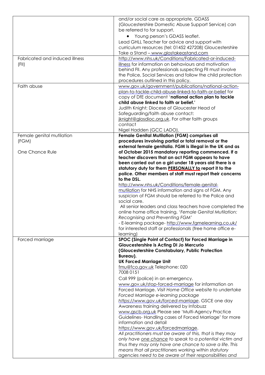|                                | and/or social care as appropriate. GDASS                                         |
|--------------------------------|----------------------------------------------------------------------------------|
|                                | (Gloucestershire Domestic Abuse Support Service) can                             |
|                                | be referred to for support.                                                      |
|                                | Young person's GDASS leaflet.                                                    |
|                                | Lead GHLL Teacher for advice and support with                                    |
|                                | curriculum resources (tel: 01452 427208) Gloucestershire                         |
|                                | Take a Stand - www.glostakeastand.com                                            |
| Fabricated and induced illness | http://www.nhs.uk/Conditions/Fabricated-or-induced-                              |
|                                | illness for information on behaviours and motivation                             |
| (FII)                          | behind FII. Any professionals suspecting FII must involve                        |
|                                | the Police, Social Services and follow the child protection                      |
|                                |                                                                                  |
|                                | procedures outlined in this policy.                                              |
| Faith abuse                    | www.gov.uk/government/publications/national-action-                              |
|                                | plan-to-tackle-child-abuse-linked-to-faith-or-belief for                         |
|                                | copy of DfE document 'national action plan to tackle                             |
|                                | child abuse linked to faith or belief.'                                          |
|                                | Judith Knight; Diocese of Gloucester Head of                                     |
|                                | Safeguarding/faith abuse contact:                                                |
|                                | jknight@glosdioc.org.uk. For other faith groups                                  |
|                                | contact                                                                          |
|                                | Nigel Hadden (GCC LADO).                                                         |
| Female genital mutilation      | Female Genital Mutilation (FGM) comprises all                                    |
| (FGM)                          | procedures involving partial or total removal or the                             |
|                                | external female genitalia. FGM is illegal in the UK and as                       |
| One Chance Rule                | of October 2015 mandatory reporting commenced. If a                              |
|                                | teacher discovers that an act FGM appears to have                                |
|                                | been carried out on a girl under 18 years old there is a                         |
|                                | statutory duty for them <b>PERSONALLY</b> to report it to the                    |
|                                | police. Other members of staff must report their concerns                        |
|                                | to the DSL.                                                                      |
|                                | http://www.nhs.uk/Conditions/female-genital-                                     |
|                                | mutilation for NHS information and signs of FGM. Any                             |
|                                | suspicion of FGM should be referred to the Police and                            |
|                                | social care.                                                                     |
|                                | All senior leaders and class teachers have completed the                         |
|                                | online home office training, 'Female Genital Mutilation:                         |
|                                | Recognising and Preventing FGM'                                                  |
|                                | - E-learning package- http://www.famelearning.co.uk/                             |
|                                | for interested staff or professionals (free home office e-                       |
|                                | learning)                                                                        |
| Forced marriage                | SPOC (Single Point of Contact) for Forced Marriage in                            |
|                                | Gloucestershire is Acting DI Jo Mercurio                                         |
|                                | (Gloucestershire Constabulary, Public Protection                                 |
|                                | Bureau).                                                                         |
|                                | <b>UK Forced Marriage Unit</b>                                                   |
|                                | fmu@fco.gov.uk Telephone: 020                                                    |
|                                | 7008 0151                                                                        |
|                                | Call 999 (police) in an emergency.                                               |
|                                | www.gov.uk/stop-forced-marriage for information on                               |
|                                | Forced Marriage. Visit Home Office website to undertake                          |
|                                | Forced Marriage e-learning package                                               |
|                                | https://www.gov.uk/forced-marriage. GSCE one day                                 |
|                                |                                                                                  |
|                                | Awareness training delivered by Infobuzz                                         |
|                                | www.gscb.org.uk Please see 'Multi-Agency Practice                                |
|                                | Guidelines-Handling cases of Forced Marriage' for more<br>information and detail |
|                                |                                                                                  |
|                                | https://www.gov.uk/forcedmarriage.                                               |
|                                | All practitioners must be aware of this, that is they may                        |
|                                | only have one chance to speak to a potential victim and                          |
|                                | thus they may only have one chance to save a life. This                          |
|                                | means that all practitioners working within statutory                            |
|                                | agencies need to be aware of their responsibilities and                          |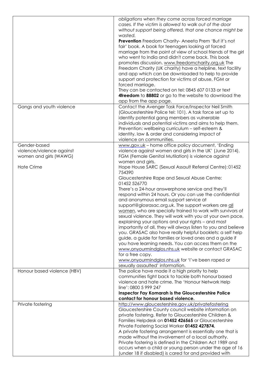|                                                                     | obligations when they come across forced marriage<br>cases. If the victim is allowed to walk out of the door<br>without support being offered, that one chance might be<br>wasted.<br><b>Prevention</b> Freedom Charity-Aneeta Prem 'But it's not<br>fair' book. A book for teenagers looking at forced<br>marriage from the point of view of school friends of the girl<br>who went to India and didn't come back. This book<br>promotes discussion. www.freedomcharity.org.uk The<br>Freedom Charity (UK charity) have a helpline, text facility<br>and app which can be downloaded to help to provide<br>support and protection for victims of abuse, FGM or<br>forced marriage.<br>They can be contacted on tel: 0845 607 0133 or text<br><b>4freedom</b> to 88802 or go to the website to download the<br>app from the app page.                                                                                                                           |
|---------------------------------------------------------------------|-----------------------------------------------------------------------------------------------------------------------------------------------------------------------------------------------------------------------------------------------------------------------------------------------------------------------------------------------------------------------------------------------------------------------------------------------------------------------------------------------------------------------------------------------------------------------------------------------------------------------------------------------------------------------------------------------------------------------------------------------------------------------------------------------------------------------------------------------------------------------------------------------------------------------------------------------------------------|
| Gangs and youth violence                                            | Contact the Avenger Task Force/Inspector Neil Smith<br>(Gloucestershire Police tel: 101). A task force set up to<br>identify potential gang members as vulnerable<br>individuals and potential victims and aims to help them.<br>Prevention: wellbeing curriculum - self-esteem &<br>identity, law & order and considering impact of<br>violence on communities.                                                                                                                                                                                                                                                                                                                                                                                                                                                                                                                                                                                                |
| Gender-based<br>violence/violence against<br>women and girls (WAWG) | www.gov.uk - home office policy document, 'Ending<br>violence against women and girls in the UK' (June 2014).<br>FGM (Female Genital Mutilation) is violence against<br>women and girls.                                                                                                                                                                                                                                                                                                                                                                                                                                                                                                                                                                                                                                                                                                                                                                        |
| <b>Hate Crime</b>                                                   | Hope House SARC (Sexual Assault Referral Centre): 01452<br>754390<br>Gloucestershire Rape and Sexual Abuse Centre:<br>01452 526770<br>There's a 24-hour answerphone service and they'll<br>respond within 24 hours. Or you can use the confidential<br>and anonymous email support service at<br>support@glosrasac.org.uk. The support workers are all<br>women, who are specially trained to work with survivors of<br>sexual violence. They will work with you at your own pace,<br>explaining your options and your rights – and most<br>importantly of all, they will always listen to you and believe<br>you. GRASAC also have really helpful booklets: a self help<br>guide, a guide for families or loved ones and a guide if<br>you have learning needs. You can access them on the<br>www.onyourmindglos.nhs.uk website or contact GRASAC<br>for a free copy.<br>www.onyourmindglos.nhs.uk for 'I've been raped or<br>sexually assaulted' information. |
| Honour based violence (HBV)                                         | The police have made it a high priority to help<br>communities fight back to tackle both honour based<br>violence and hate crime. The 'Honour Network Help<br>line': 0800 5 999 247<br>Inspector Fay Komarah is the Gloucestershire Police<br>contact for honour based violence.                                                                                                                                                                                                                                                                                                                                                                                                                                                                                                                                                                                                                                                                                |
| Private fostering                                                   | http://www.gloucestershire.gov.uk/privatefostering<br>Gloucestershire County council website information on<br>private fostering. Refer to Gloucestershire Children &<br>Families Helpdesk on 01452 426565 or Gloucestershire<br>Private Fostering Social Worker 01452 427874.<br>A private fostering arrangement is essentially one that is<br>made without the involvement of a local authority.<br>Private fostering is defined in the Children Act 1989 and<br>occurs when a child or young person under the age of 16<br>(under 18 if disabled) is cared for and provided with                                                                                                                                                                                                                                                                                                                                                                             |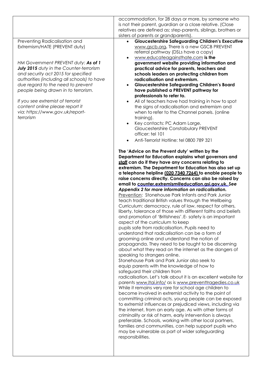|                                                                                                                                                                                                                                                                                                                                                                                                                                            | accommodation, for 28 days or more, by someone who<br>is not their parent, guardian or a close relative. (Close<br>relatives are defined as; step-parents, siblings, brothers or                                                                                                                                                                                                                                                                                                                                                                                                                                                                                                                                                                                                                                                                                                                                                                                                                                                                                                                                                                                                                                                                                                                                                                                                                                                                                                                                                                                                                                                                                                                                                                                                                                                                                                                                                                                                                                                                                                                                                                                                                                                                                                                                                                                                                                                                                                                                                                                                                                                                                                                                                                                                                                                        |
|--------------------------------------------------------------------------------------------------------------------------------------------------------------------------------------------------------------------------------------------------------------------------------------------------------------------------------------------------------------------------------------------------------------------------------------------|-----------------------------------------------------------------------------------------------------------------------------------------------------------------------------------------------------------------------------------------------------------------------------------------------------------------------------------------------------------------------------------------------------------------------------------------------------------------------------------------------------------------------------------------------------------------------------------------------------------------------------------------------------------------------------------------------------------------------------------------------------------------------------------------------------------------------------------------------------------------------------------------------------------------------------------------------------------------------------------------------------------------------------------------------------------------------------------------------------------------------------------------------------------------------------------------------------------------------------------------------------------------------------------------------------------------------------------------------------------------------------------------------------------------------------------------------------------------------------------------------------------------------------------------------------------------------------------------------------------------------------------------------------------------------------------------------------------------------------------------------------------------------------------------------------------------------------------------------------------------------------------------------------------------------------------------------------------------------------------------------------------------------------------------------------------------------------------------------------------------------------------------------------------------------------------------------------------------------------------------------------------------------------------------------------------------------------------------------------------------------------------------------------------------------------------------------------------------------------------------------------------------------------------------------------------------------------------------------------------------------------------------------------------------------------------------------------------------------------------------------------------------------------------------------------------------------------------------|
| Preventing Radicalisation and<br>Extremism/HATE (PREVENT duty)<br>HM Government PREVENT duty: As of 1<br>July 2015 duty in the Counter-terrorism<br>and security act 2015 for specified<br>authorities (including all schools) to have<br>due regard to the need to prevent<br>people being drawn in to terrorism.<br>If you see extremist of terrorist<br>content online please report it<br>via: https://www.gov.uk/report-<br>terrorism | sisters of parents or grandparents).<br><b>Gloucestershire Safeguarding Children's Executive</b><br>www.gscb.org. There is a new GSCB PREVENT<br>referral pathway (DSLs have a copy)<br>www.educateagainsthate.com is the<br>government website providing information and<br>practical advice for parents, teachers and<br>schools leaders on protecting children from<br>radicalisation and extremism.<br><b>Gloucestershire Safeguarding Children's Board</b><br>$\bullet$<br>have published a PREVENT pathway for<br>professionals to refer to.<br>All of teachers have had training in how to spot<br>$\bullet$<br>the signs of radicalisation and extremism and<br>when to refer to the Channel panels. (online<br>training).<br>Key contacts: PC Adam Large,<br>$\bullet$<br>Gloucestershire Constabulary PREVENT<br>officer: tel 101<br>Anti-Terrorist Hotline: tel 0800 789 321<br>The 'Advice on the Prevent duty' written by the<br>Department for Education explains what governors and<br>staff can do if they have any concerns relating to<br>extremism. The Department for Education has also set up<br>a telephone helpline (020 7340 7264) to enable people to<br>raise concerns directly. Concerns can also be raised by<br>email to counter.extremism@education.asi.aov.uk.See<br>Appendix 2 for more information on radicalisation.<br>Prevention: Stonehouse Park Infants and Park Junior<br>teach traditional British values through the Wellbeing<br>Curriculum: democracy, rule of law, respect for others,<br>liberty, tolerance of those with different faiths and beliefs<br>and promotion of 'Britishness'. E- safety is an important<br>aspect of the curriculum to keep<br>pupils safe from radicalisation. Pupils need to<br>understand that radicalisation can be a form of<br>grooming online and understand the notion of<br>propaganda. They need to be taught to be discerning<br>about what they read on the internet as the dangers of<br>speaking to strangers online.<br>Stonehouse Park and Park Junior also seek to<br>equip parents with the knowledge of how to<br>safeguard their children from<br>radicalisation. Let's talk about it is an excellent website for<br>parents www.ltai.info/ as is www.preventtragedies.co.uk<br>While it remains very rare for school age children to<br>become involved in extremist activity to the point of<br>committing criminal acts, young people can be exposed<br>to extremist influences or prejudiced views, including via<br>the internet, from an early age. As with other forms of<br>criminality or risk of harm, early intervention is always<br>preferable. Schools, working with other local partners,<br>families and communities, can help support pupils who<br>may be vulnerable as part of wider safeguarding<br>responsibilities. |
|                                                                                                                                                                                                                                                                                                                                                                                                                                            |                                                                                                                                                                                                                                                                                                                                                                                                                                                                                                                                                                                                                                                                                                                                                                                                                                                                                                                                                                                                                                                                                                                                                                                                                                                                                                                                                                                                                                                                                                                                                                                                                                                                                                                                                                                                                                                                                                                                                                                                                                                                                                                                                                                                                                                                                                                                                                                                                                                                                                                                                                                                                                                                                                                                                                                                                                         |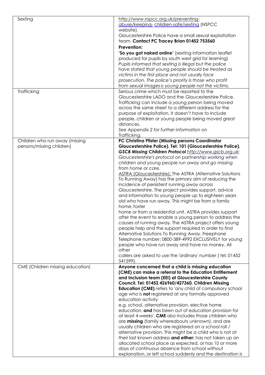| Sexting                          | http://www.nspcc.org.uk/preventing-<br>abuse/keeping-children-safe/sexting (NSPCC<br>website).                           |
|----------------------------------|--------------------------------------------------------------------------------------------------------------------------|
|                                  | Gloucestershire Police have a small sexual exploitation<br>team. Contact PC Tracey Brian 01452 753560                    |
|                                  | Prevention:                                                                                                              |
|                                  | 'So you got naked online' (sexting information leaflet                                                                   |
|                                  | produced for pupils by south west grid for learning)                                                                     |
|                                  | Pupils informed that sexting is illegal but the police                                                                   |
|                                  | have stated that young people should be treated as                                                                       |
|                                  | victims in the first place and not usually face                                                                          |
|                                  | prosecution. The police's priority is those who profit                                                                   |
|                                  | from sexual images o young people not the victims.                                                                       |
| Trafficking                      | Serious crime which must be reported to the<br>Gloucestershire LADO and the Gloucestershire Police.                      |
|                                  | Trafficking can include a young person being moved                                                                       |
|                                  | across the same street to a different address for the                                                                    |
|                                  | purpose of exploitation. It doesn't have to include                                                                      |
|                                  | people, children or young people being moved great                                                                       |
|                                  | distances.                                                                                                               |
|                                  | See Appendix 2 for further information on                                                                                |
|                                  | Trafficking.                                                                                                             |
| Children who run away (missing   | PC Christina Pfister (Missing persons Coordinator                                                                        |
| persons/missing children)        | Gloucestershire Police). Tel: 101 (Gloucestershire Police).                                                              |
|                                  | GSCB Missing Children Protocol http://www.gscb.org.uk:                                                                   |
|                                  | Gloucestershire's protocol on partnership working when                                                                   |
|                                  | children and young people run away and go missing                                                                        |
|                                  | from home or care.                                                                                                       |
|                                  | <b>ASTRA (Gloucestershire): The ASTRA (Alternative Solutions</b><br>To Running Away) has the primary aim of reducing the |
|                                  | incidence of persistent running away across                                                                              |
|                                  | Gloucestershire. The project provides support, advice                                                                    |
|                                  | and information to young people up to eighteen years                                                                     |
|                                  | old who have run away. This might be from a family                                                                       |
|                                  | home, foster                                                                                                             |
|                                  | home or from a residential unit. ASTRA provides support                                                                  |
|                                  | after the event to enable a young person to address the                                                                  |
|                                  | causes of running away. The ASTRA project offers young                                                                   |
|                                  | people help and the support required in order to find                                                                    |
|                                  | Alternative Solutions To Running Away. Freephone                                                                         |
|                                  | Telephone number: 0800-389-4992 EXCLUSIVELY for young<br>people who have run away and have no money. All                 |
|                                  | other                                                                                                                    |
|                                  | callers are asked to use the 'ordinary' number (tel: 01452                                                               |
|                                  | 541599).                                                                                                                 |
| CME (Children missing education) | Anyone concerned that a child is missing education                                                                       |
|                                  | (CME) can make a referral to the Education Entitlement                                                                   |
|                                  | and Inclusion team (EEI) at Gloucestershire County                                                                       |
|                                  | Council. Tel: 01452 426960/427360. Children Missing                                                                      |
|                                  | <b>Education (CME)</b> refers to 'any child of compulsory school                                                         |
|                                  | age who is not registered at any formally approved                                                                       |
|                                  | education activity<br>e.g. school, alternative provision, elective home                                                  |
|                                  | education, and has been out of education provision for                                                                   |
|                                  | at least 4 weeks'. CME also includes those children who                                                                  |
|                                  | are missing (family whereabouts unknown), and are                                                                        |
|                                  | usually children who are registered on a school roll /                                                                   |
|                                  | alternative provision. This might be a child who is not at                                                               |
|                                  | their last known address and either: has not taken up an                                                                 |
|                                  | allocated school place as expected, or has 10 or more                                                                    |
|                                  | days of continuous absence from school without                                                                           |
|                                  | explanation, or left school suddenly and the destination is                                                              |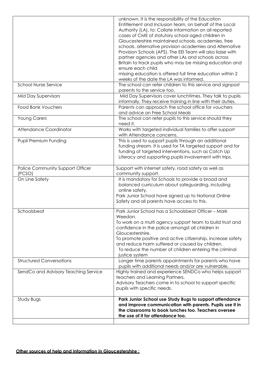|                                            | unknown. It is the responsibility of the Education<br>Entitlement and Inclusion team, on behalf of the Local<br>Authority (LA), to: Collate information on all reported<br>cases of CME of statutory school aged children in<br>Gloucestershire maintained schools, academies, free<br>schools, alternative provision academies and Alternative<br>Provision Schools (APS). The EEI Team will also liaise with<br>partner agencies and other LAs and schools across<br>Britain to track pupils who may be missing education and<br>ensure each child<br>missing education is offered full time education within 2<br>weeks of the date the LA was informed. |
|--------------------------------------------|-------------------------------------------------------------------------------------------------------------------------------------------------------------------------------------------------------------------------------------------------------------------------------------------------------------------------------------------------------------------------------------------------------------------------------------------------------------------------------------------------------------------------------------------------------------------------------------------------------------------------------------------------------------|
| <b>School Nurse Service</b>                | The school can refer children to this service and signpost<br>parents to the service too.                                                                                                                                                                                                                                                                                                                                                                                                                                                                                                                                                                   |
| <b>Mid Day Supervisors</b>                 | Mid Day Supervisors cover lunchtimes. They talk to pupils<br>informally. They receive training in line with their duties.                                                                                                                                                                                                                                                                                                                                                                                                                                                                                                                                   |
| <b>Food Bank Vouchers</b>                  | Parents can approach the school office for vouchers<br>and advice on Free School Meals                                                                                                                                                                                                                                                                                                                                                                                                                                                                                                                                                                      |
| <b>Young Carers</b>                        | The school can refer pupils to this service should they<br>need it.                                                                                                                                                                                                                                                                                                                                                                                                                                                                                                                                                                                         |
| Attendance Coordinator                     | Works with targeted individual families to offer support<br>with Attendance concerns.                                                                                                                                                                                                                                                                                                                                                                                                                                                                                                                                                                       |
| Pupil Premium Funding                      | This is used to support pupils through an additional<br>funding stream. It is used for TA targeted support and for<br>funding of targeted interventions, such as Catch Up<br>Literacy and supporting pupils involvement with trips.                                                                                                                                                                                                                                                                                                                                                                                                                         |
| Police Community Support Officer<br>(PCSO) | Support with internet safety, road safety as well as<br>community support.                                                                                                                                                                                                                                                                                                                                                                                                                                                                                                                                                                                  |
| On Line Safety                             | It is mandatory for Schools to provide a broad and<br>balanced curriculum about safeguarding, including<br>online safety.<br>Park Junior School have signed up to National Online<br>Safety and all parents have access to this.                                                                                                                                                                                                                                                                                                                                                                                                                            |
| Schoolsbeat                                | Park Junior School has a Schoolsbeat Officer - Mark<br>Weedon.<br>To work on a multi agency support team to build trust and<br>confidence in the police amongst all children in<br>Gloucestershire.<br>To promote positive and active citizenship, increase safety<br>and reduce harm suffered or caused by children.<br>To reduce the number of children entering the criminal<br>justice system                                                                                                                                                                                                                                                           |
| <b>Structured Conversations</b>            | Longer time parents appointments for parents who have<br>pupils with additional needs and/or are vulnerable.                                                                                                                                                                                                                                                                                                                                                                                                                                                                                                                                                |
| SendCo and Advisory Teaching Service       | Highly trained and experience SENDCo who helps support<br>teachers and Learning Partners.<br>Advisory Teachers come in to school to support specific<br>pupils with specific needs.                                                                                                                                                                                                                                                                                                                                                                                                                                                                         |
| Study Bugs                                 | Park Junior School use Study Bugs to support attendance<br>and improve communication with parents. Pupils use it in<br>the classrooms to book lunches too. Teachers oversee<br>the use of it for attendance too.                                                                                                                                                                                                                                                                                                                                                                                                                                            |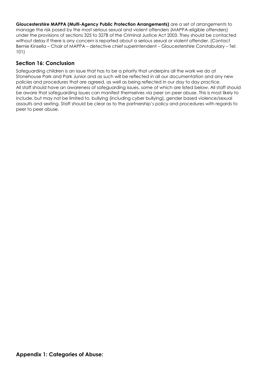**Gloucestershire MAPPA (Multi-Agency Public Protection Arrangements)** are a set of arrangements to manage the risk posed by the most serious sexual and violent offenders (MAPPA-eligible offenders) under the provisions of sections 325 to 327B of the Criminal Justice Act 2003. They should be contacted without delay if there is any concern is reported about a serious sexual or violent offender. (Contact Bernie Kinsella – Chair of MAPPA – detective chief superintendent – Gloucestershire Constabulary – Tel: 101)

# **Section 16: Conclusion**

Safeguarding children is an issue that has to be a priority that underpins all the work we do at Stonehouse Park and Park Junior and as such will be reflected in all our documentation and any new policies and procedures that are agreed, as well as being reflected in our day to day practice. All staff should have an awareness of safeguarding issues, some of which are listed below. All staff should be aware that safeguarding issues can manifest themselves via peer on peer abuse. This is most likely to include, but may not be limited to, bullying (including cyber bullying), gender based violence/sexual assaults and sexting. Staff should be clear as to the partnership's policy and procedures with regards to peer to peer abuse.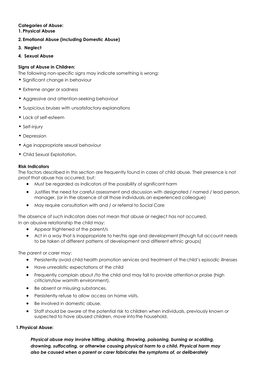# **Categories of Abuse:**

#### **1. Physical Abuse**

#### **2. Emotional Abuse (including Domestic Abuse)**

- **3. Neglect**
- **4. Sexual Abuse**

#### **Signs of Abuse in Children:**

The following non-specific signs may indicate something is wrong:

- Significant change in behaviour
- Extreme anger or sadness
- Aggressive and attention-seeking behaviour
- Suspicious bruises with unsatisfactory explanations
- Lack of self-esteem
- Self-injury
- Depression
- Age inappropriate sexual behaviour
- Child Sexual Exploitation.

#### **Risk Indicators**

The factors described in this section are frequently found in cases of child abuse. Their presence is not proof that abuse has occurred, but:

- Must be regarded as indicators of the possibility of significant harm
- Justifies the need for careful assessment and discussion with designated / named / lead person, manager, (or in the absence of all those individuals,an experienced colleague)
- May require consultation with and / or referral to Social Care

The absence of such indicators does not mean that abuse or neglect has not occurred. In an abusive relationship the child may:

- Appear frightened of the parent/s
- Act in a way that is inappropriate to her/his age and development (though full account needs to be taken of different patterns of development and different ethnic groups)

The parent or carer may:

- Persistently avoid child health promotion services and treatment of thechild's episodic illnesses
- Have unrealistic expectations of the child
- Frequently complain about /to the child and may fail to provide attentionor praise (high criticism/low warmth environment).
- Be absent or misusing substances.
- Persistently refuse to allow access on home visits.
- Be involved in domestic abuse.
- Staff should be aware of the potential risk to children when individuals, previously known or suspected to have abused children, move into the household.

#### **1.Physical Abuse:**

*Physical abuse may involve hitting, shaking, throwing, poisoning, burning or scalding, drowning, suffocating, or otherwise causing physical harm to a child. Physical harm may also be caused when a parent or carer fabricates the symptoms of, or deliberately*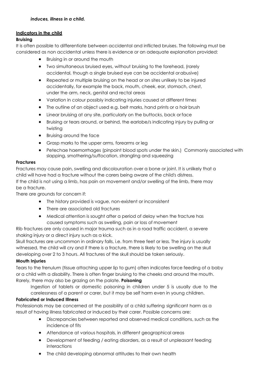# **Indicators in the child**

#### **Bruising**

It is often possible to differentiate between accidental and inflicted bruises. The following must be considered as non accidental unless there is evidence or an adequate explanation provided:

- Bruising in or around the mouth
- Two simultaneous bruised eyes, without bruising to the forehead, (rarely accidental, though a single bruised eye can be accidental orabusive)
- Repeated or multiple bruising on the head or on sites unlikely to be injured accidentally, for example the back, mouth, cheek, ear, stomach, chest, under the arm, neck, genital and rectal areas
- Variation in colour possibly indicating injuries caused at different times
- The outline of an object used e.g. belt marks, hand prints or a hair brush
- Linear bruising at any site, particularly on the buttocks, back or face
- Bruising or tears around, or behind, the earlobe/s indicating injury by pulling or twisting
- Bruising around the face
- Grasp marks to the upper arms, forearms or leg
- Petechae haemorrhages (pinpoint blood spots under the skin.) Commonly associated with slapping, smothering/suffocation, strangling and squeezing

#### **Fractures**

Fractures may cause pain, swelling and discolouration over a bone or joint. It is unlikely that a child will have had a fracture without the carers being aware of the child's distress. If the child is not using a limb, has pain on movement and/or swelling of the limb, there may be a fracture.

There are grounds for concern if:

- The history provided is vague, non-existent or inconsistent
- There are associated old fractures
- Medical attention is sought after a period of delay when the fracture has caused symptoms such as swelling, pain or loss of movement

Rib fractures are only caused in major trauma such as in a road traffic accident, a severe shaking injury or a direct injury such as a kick.

Skull fractures are uncommon in ordinary falls, i.e. from three feet or less. The injury is usually witnessed, the child will cry and if there is a fracture, there is likely to be swelling on the skull developing over 2 to 3 hours. All fractures of the skull should be taken seriously.

#### **Mouth Injuries**

Tears to the frenulum (tissue attaching upper lip to gum) often indicates force feeding of a baby or a child with a disability. There is often finger bruising to the cheeks and around the mouth. Rarely, there may also be grazing on the palate. **Poisoning**

Ingestion of tablets or domestic poisoning in children under 5 is usually due to the carelessness of a parent or carer, but it may be self harm even in young children.

#### **[Fabricated or Induced Illness](http://www.proceduresonline.com/herts_scb/chapters/p_fab_ill.html)**

Professionals may be concerned at the possibility of a child suffering [significant](http://www.proceduresonline.com/herts_scb/keywords/significant_harm.html) [harm a](http://www.proceduresonline.com/herts_scb/keywords/significant_harm.html)s a result of having illness fabricated or induced by their carer. Possible concerns are:

- Discrepancies between reported and observed medical conditions, such as the incidence of fits
- Attendance at various hospitals, in different geographical areas
- Development of feeding / eating disorders, as a result of unpleasant feeding interactions
- The child developing abnormal attitudes to their own health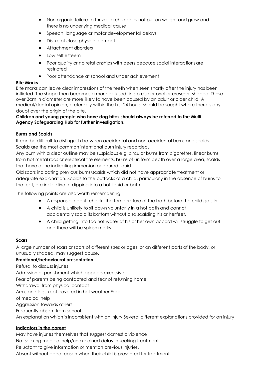- Non organic failure to thrive a child does not put on weight and grow and there is no underlying medical cause
- Speech, language or motor developmental delays
- Dislike of close physical contact
- Attachment disorders
- Low self esteem
- Poor quality or no relationships with peers because social interactionsare restricted
- Poor attendance at school and under achievement

#### **Bite Marks**

Bite marks can leave clear impressions of the teeth when seen shortly after the injury has been inflicted. The shape then becomes a more defused ring bruise or oval or crescent shaped. Those over 3cm in diameter are more likely to have been caused by an adult or older child. A medical/dental opinion, preferably within the first 24 hours, should be sought where there is any doubt over the origin of the bite.

#### **Children and young people who have dog bites should always be referred to the Multi Agency Safeguarding Hub for further investigation.**

#### **Burns and Scalds**

It can be difficult to distinguish between accidental and non-accidental burns and scalds. Scalds are the most common intentional burn injury recorded.

Any burn with a clear outline may be suspicious e.g. circular burns from cigarettes, linear burns from hot metal rods or electrical fire elements, burns of uniform depth over a large area, scalds that have a line indicating immersion or poured liquid.

Old scars indicating previous burns/scalds which did not have appropriate treatment or adequate explanation. Scalds to the buttocks of a child, particularly in the absence of burns to the feet, are indicative of dipping into a hot liquid or bath.

The following points are also worth remembering:

- A responsible adult checks the temperature of the bath before the child gets in.
- A child is unlikely to sit down voluntarily in a hot bath and cannot accidentally scald its bottom without also scalding his or herfeet.
- A child getting into too hot water of his or her own accord will struggle to get out and there will be splash marks

#### **Scars**

A large number of scars or scars of different sizes or ages, or on different parts of the body, or unusually shaped, may suggest abuse.

# **Emotional/behavioural presentation**

Refusal to discuss injuries Admission of punishment which appears excessive Fear of parents being contacted and fear of returning home Withdrawal from physical contact Arms and legs kept covered in hot weather Fear of medical help Aggression towards others Frequently absent from school An explanation which is inconsistent with an injury Several different explanations provided for an injury

#### **Indicators in the parent**

May have injuries themselves that suggest domestic violence Not seeking medical help/unexplained delay in seeking treatment Reluctant to give information or mention previous injuries. Absent without good reason when their child is presented for treatment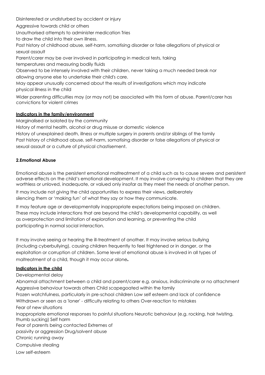Disinterested or undisturbed by accident or injury

Aggressive towards child or others

Unauthorised attempts to administer medication Tries

to draw the child into their own illness.

Past history of childhood abuse, self-harm, somatising disorder or false allegations of physical or sexual assault

Parent/carer may be over involved in participating in medical tests, taking

temperatures and measuring bodily fluids

Observed to be intensely involved with their children, never taking a much needed break nor allowing anyone else to undertake their child's care.

May appear unusually concerned about the results of investigations which may indicate physical illness in the child

Wider parenting difficulties may (or may not) be associated with this form of abuse. Parent/carer has convictions for violent crimes

# **Indicators in the family/environment**

Marginalised or isolated by the community

History of mental health, alcohol or drug misuse or domestic violence

History of unexplained death, illness or multiple surgery in parents and/or siblings of the family Past history of childhood abuse, self-harm, somatising disorder or false allegations of physical or sexual assault or a culture of physical chastisement.

#### **2.Emotional Abuse**

Emotional abuse is the persistent emotional maltreatment of a child such as to cause severe and persistent adverse effects on the child's emotional development. It may involve conveying to children that they are worthless or unloved, inadequate, or valued only insofar as they meet the needs of another person.

It may include not giving the child opportunities to express their views, deliberately silencing them or 'making fun' of what they say or how they communicate.

It may feature age or developmentally inappropriate expectations being imposed on children. These may include interactions that are beyond the child's developmental capability, as well as overprotection and limitation of exploration and learning, or preventing the child participating in normal social interaction.

It may involve seeing or hearing the ill-treatment of another. It may involve serious bullying (including cyberbullying), causing children frequently to feel frightened or in danger, or the exploitation or corruption of children. Some level of emotional abuse is involved in all types of maltreatment of a child, though it may occur alone*.*

#### **Indicators in the child**

Developmental delay

Abnormal attachment between a child and parent/carer e.g. anxious, indiscriminate or no attachment Aggressive behaviour towards others Child scapegoated within the family Frozen watchfulness, particularly in pre-school children Low self esteem and lack of confidence Withdrawn or seen as a 'loner' - difficulty relating to others Over-reaction to mistakes Fear of new situations Inappropriate emotional responses to painful situations Neurotic behaviour (e.g. rocking, hair twisting, thumb sucking) Self harm Fear of parents being contacted Extremes of passivity or aggression Drug/solvent abuse Chronic running away Compulsive stealing Low self-esteem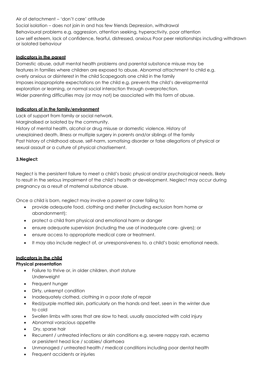#### Air of detachment – 'don't care' attitude

Social isolation – does not join in and has few friends Depression, withdrawal Behavioural problems e.g. aggression, attention seeking, hyperactivity, poor attention Low self esteem, lack of confidence, fearful, distressed, anxious Poor peer relationships including withdrawn or isolated behaviour

#### **Indicators in the parent**

Domestic abuse, adult mental health problems and parental substance misuse may be features in families where children are exposed to abuse. Abnormal attachment to child e.g. overly anxious or disinterest in the child Scapegoats one child in the family Imposes inappropriate expectations on the child e.g. prevents the child's developmental exploration or learning, or normal social interaction through overprotection. Wider parenting difficulties may (or may not) be associated with this form of abuse.

#### **Indicators of in the family/environment**

Lack of support from family or social network.

Marginalised or isolated by the community.

History of mental health, alcohol or drug misuse or domestic violence. History of unexplained death, illness or multiple surgery in parents and/or siblings of the family Past history of childhood abuse, self-harm, somatising disorder or false allegations of physical or sexual assault or a culture of physical chastisement.

#### **3.Neglect:**

Neglect is the persistent failure to meet a child's basic physical and/or psychological needs, likely to result in the serious impairment of the child's health or development. Neglect may occur during pregnancy as a result of maternal substance abuse.

Once a child is born, neglect may involve a parent or carer failing to:

- provide adequate food, clothing and shelter (including exclusion from home or abandonment);
- protect a child from physical and emotional harm or danger
- ensure adequate supervision (including the use of inadequate care- givers); or
- ensure access to appropriate medical care or treatment.
- It may also include neglect of, or unresponsiveness to, a child's basic emotional needs.

# **Indicators in the child**

#### **Physical presentation**

- Failure to thrive or, in older children, short stature Underweight
- Frequent hunger
- Dirty, unkempt condition
- Inadequately clothed, clothing in a poor state of repair
- Red/purple mottled skin, particularly on the hands and feet, seen in the winter due to cold
- Swollen limbs with sores that are slow to heal, usually associated with cold injury
- Abnormal voracious appetite
- Dry, sparse hair
- Recurrent / untreated infections or skin conditions e.g. severe nappy rash, eczema or persistent head lice / scabies/ diarrhoea
- Unmanaged / untreated health / medical conditions including poor dental health
- Frequent accidents or injuries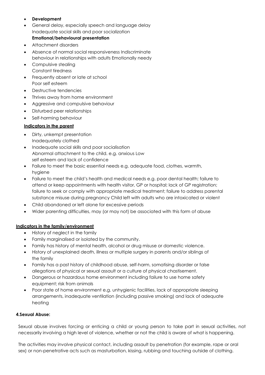# • **Development**

- General delay, especially speech and language delay Inadequate social skills and poor socialization **Emotional/behavioural presentation**
- 
- Attachment disorders
- Absence of normal social responsiveness Indiscriminate behaviour in relationships with adults Emotionally needy
- Compulsive stealing Constant tiredness
- Frequently absent or late at school Poor self esteem
- Destructive tendencies
- Thrives away from home environment
- Aggressive and compulsive behaviour
- Disturbed peer relationships
- Self-harming behaviour

#### **Indicators in the parent**

- Dirty, unkempt presentation Inadequately clothed
- Inadequate social skills and poor socialisation Abnormal attachment to the child. e.g. anxious Low self esteem and lack of confidence
- Failure to meet the basic essential needs e.g. adequate food, clothes, warmth, hygiene
- Failure to meet the child's health and medical needs e.g. poor dental health; failure to attend or keep appointments with health visitor, GP or hospital; lack of GP registration; failure to seek or comply with appropriate medical treatment; failure to address parental substance misuse during pregnancy Child left with adults who are intoxicated or violent
- Child abandoned or left alone for excessive periods
- Wider parenting difficulties, may (or may not) be associated with this form of abuse

#### **Indicators in the family/environment**

- History of neglect in the family
- Family marginalised or isolated by the community.
- Family has history of mental health, alcohol or drug misuse or domestic violence.
- History of unexplained death, illness or multiple surgery in parents and/or siblings of the family
- Family has a past history of childhood abuse, self-harm, somatising disorder or false allegations of physical or sexual assault or a culture of physical chastisement.
- Dangerous or hazardous home environment including failure to use home safety equipment; risk from animals
- Poor state of home environment e.g. unhygienic facilities, lack of appropriate sleeping arrangements, inadequate ventilation (including passive smoking) and lack of adequate heating

#### **4.Sexual Abuse:**

Sexual abuse involves forcing or enticing a child or young person to take part in sexual activities, not necessarily involving a high level of violence, whether or not the child is aware of what is happening.

The activities may involve physical contact, including assault by penetration (for example, rape or oral sex) or non-penetrative acts such as masturbation, kissing, rubbing and touching outside of clothing.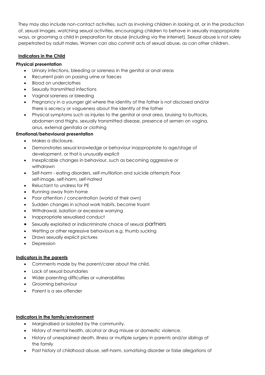They may also include non-contact activities, such as involving children in looking at, or in the production of, sexual images, watching sexual activities, encouraging children to behave in sexually inappropriate ways, or grooming a child in preparation for abuse (including via the internet). Sexual abuse is not solely perpetrated by adult males. Women can also commit acts of sexual abuse, as can other children.

# **Indicators in the Child**

# **Physical presentation**

- Urinary infections, bleeding or soreness in the genital or anal areas
- Recurrent pain on passing urine or faeces
- Blood on underclothes
- Sexually transmitted infections
- Vaginal soreness or bleeding
- Pregnancy in a younger girl where the identity of the father is not disclosed and/or there is secrecy or vagueness about the identity of the father
- Physical symptoms such as injuries to the genital or anal area, bruising to buttocks, abdomen and thighs, sexually transmitted disease, presence of semen on vagina, anus, external genitalia or clothing

#### **Emotional/behavioural presentation**

- Makes a disclosure.
- Demonstrates sexual knowledge or behaviour inappropriate to age/stage of development, or that is unusually explicit
- Inexplicable changes in behaviour, such as becoming aggressive or withdrawn
- Self-harm eating disorders, self-mutilation and suicide attempts Poor self-image, self-harm, self-hatred
- Reluctant to undress for PE
- Running away from home
- Poor attention / concentration (world of their own)
- Sudden changes in school work habits, become truant
- Withdrawal, isolation or excessive worrying
- Inappropriate sexualised conduct
- Sexually exploited or indiscriminate choice of sexual partners
- Wetting or other regressive behaviours e.g. thumb sucking
- Draws sexually explicit pictures
- **Depression**

#### **Indicators in the parents**

- Comments made by the parent/carer about the child.
- Lack of sexual boundaries
- Wider parenting difficulties or vulnerabilities
- Grooming behaviour
- Parent is a sex offender

#### **Indicators in the family/environment**

- Marginalised or isolated by the community.
- History of mental health, alcohol or drug misuse or domestic violence.
- History of unexplained death, illness or multiple surgery in parents and/or siblings of the family
- Past history of childhood abuse, self-harm, somatising disorder or false allegations of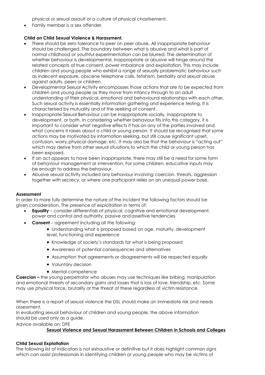physical or sexual assault or a culture of physical chastisement.

• Family member is a sex offender.

#### **Child on Child Sexual Violence & Harassment.**

- There should be zero tolerance to peer on peer abuse. All inappropriate behaviour should be challenged. The boundary between what is abusive and what is part of normal childhood or youthful experimentation can be blurred. The determination of whether behaviour is developmental, inappropriate or abusive will hinge around the related concepts of true consent, power imbalance and exploitation. This may include children and young people who exhibit a range of sexually problematic behaviour such as indecent exposure, obscene telephone calls, fetishism, bestiality and sexual abuse against adults, peers or children.
- Developmental Sexual Activity encompasses those actions that are to be expected from children and young people as they move from infancy through to an adult understanding of their physical, emotional and behavioural relationships with each other. Such sexual activity is essentially information gathering and experience testing. It is characterised by mutuality and of the seeking of consent.
- Inappropriate Sexual Behaviour can be inappropriate socially, inappropriate to development, or both. In considering whether behaviour fits into this category, it is important to consider what negative effects it has on any of the parties involved and what concerns it raises about a child or young person. It should be recognised that some actions may be motivated by information seeking, but still cause significant upset, confusion, worry,physical damage, etc. It may also be that the behaviour is "acting out" which may derive from other sexual situations to which the child or young person has been exposed.
- If an act appears to have been inappropriate, there may still be a need for some form of behaviour management or intervention. For some children, educative inputs may be enough to address the behaviour.
- Abusive sexual activity included any behaviour involving coercion, threats, aggression together with secrecy, or where one participant relies on an unequal power base.

#### **Assessment**

In order to more fully determine the nature of the incident the following factors should be given consideration. The presence of exploitation in terms of:

- **Equality**  consider differentials of physical, cognitive and emotional development, power and control and authority, passive andassertive tendencies
- **Consent**  agreement including all the following:
	- Understanding what is proposed based on age, maturity, development level, functioning and experience
	- Knowledge of society's standards for what is being proposed
	- Awareness of potential consequences and alternatives
	- Assumption that agreements or disagreements will be respected equally
	- Voluntary decision
	- Mental competence

**Coercion –** the young perpetrator who abuses may use techniques like bribing, manipulation and emotional threats of secondary gains and losses that is loss of love, friendship, etc. Some may use physical force, brutality or the threat of these regardless of victim resistance.

When there is a report of sexual violence the DSL should make an immediate risk and needs assessment.

In evaluating sexual behaviour of children and young people, the above information should be used only as a quide.

Advice available on: DFE

#### **Sexual Violence and Sexual Harassment Between Children in Schools and Colleges**

#### **Child Sexual Exploitation**

The following list of indicators is not exhaustive or definitive but it does highlight common signs which can assist professionals in identifying children or young people who may be victims of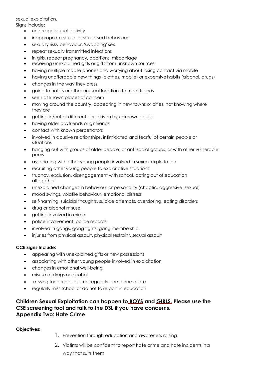sexual exploitation.

Signs include:

- underage sexual activity
- inappropriate sexual or sexualised behaviour
- sexually risky behaviour, 'swapping' sex
- repeat sexually transmitted infections
- in girls, repeat pregnancy, abortions, miscarriage
- receiving unexplained gifts or gifts from unknown sources
- having multiple mobile phones and worrying about losing contact via mobile
- having unaffordable new things (clothes, mobile) or expensive habits (alcohol, drugs)
- changes in the way they dress
- going to hotels or other unusual locations to meet friends
- seen at known places of concern
- moving around the country, appearing in new towns or cities, not knowing where they are
- getting in/out of different cars driven by unknown adults
- having older boyfriends or girlfriends
- contact with known perpetrators
- involved in abusive relationships, intimidated and fearful of certain people or situations
- hanging out with groups of older people, or anti-social groups, or with other vulnerable peers
- associating with other young people involved in sexual exploitation
- recruiting other young people to exploitative situations
- truancy, exclusion, disengagement with school, opting out of education altogether
- unexplained changes in behaviour or personality (chaotic, aggressive, sexual)
- mood swings, volatile behaviour, emotional distress
- self-harming, suicidal thoughts, suicide attempts, overdosing, eating disorders
- drug or alcohol misuse
- getting involved in crime
- police involvement, police records
- involved in gangs, gang fights, gang membership
- injuries from physical assault, physical restraint, sexual assault

#### **CCE Signs Include:**

- appearing with unexplained gifts or new possessions
- associating with other young people involved in exploitation
- changes in emotional well-being
- misuse of drugs or alcohol
- missing for periods of time regularly come home late
- regularly miss school or do not take part in education

# **Children Sexual Exploitation can happen to BOYS and GIRLS. Please use the CSE screening tool and talk to the DSL if you have concerns. Appendix Two: Hate Crime**

#### **Objectives:**

- 1. Prevention through education and awareness raising
- 2. Victims will be confident to report hate crime and hate incidents ina way that suits them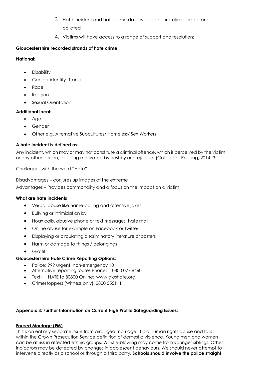- 3. Hate incident and hate crime data will be accurately recorded and collated
- 4. Victims will have access to a range of support and resolutions

# **Gloucestershire recorded strands of hate crime**

#### **National:**

- **Disability**
- Gender identity (Trans)
- Race
- **Religion**
- Sexual Orientation

# **Additional local:**

- Age
- Gender
- Other e.g. Alternative Subcultures/ Homeless/ Sex Workers

# **A hate incident is defined as:**

Any incident, which may or may not constitute a criminal offence, which is perceived by the victim or any other person, as being motivated by hostility or prejudice. (College of Policing, 2014: 3)

Challenges with the word "Hate"

Disadvantages – conjures up images of the extreme Advantages – Provides commonality and a focus on the impact on a victim

#### **What are hate incidents**

- Verbal abuse like name-calling and offensive jokes
- Bullying or intimidation by
- Hoax calls, abusive phone or text messages, hate mail
- Online abuse for example on Facebook or Twitter
- Displaying or circulating discriminatory literature orposters
- Harm or damage to things / belongings
- Graffiti

# **Gloucestershire Hate Crime Reporting Options:**

- Police: 999 urgent, non-emergency 101
- Alternative reporting routes Phone: 0800 077 8460
- Text: HATE to 80800 Online: [www.gloshate.org](http://www.gloshate.org/)
- Crimestoppers (Witness only): 0800 555111

#### **Appendix 3: Further Information on Current High Profile Safeguarding Issues:**

#### **Forced Marriage (FM)**

This is an entirely separate issue from arranged marriage. It is a human rights abuse and falls within the Crown Prosecution Service definition of domestic violence. Young men and women can be at risk in affected ethnic groups. Whistle-blowing may come from younger siblings. Other indicators may be detected by changes in adolescent behaviours. We should never attempt to intervene directly as a school or through a third party. **Schools should involve the police straight**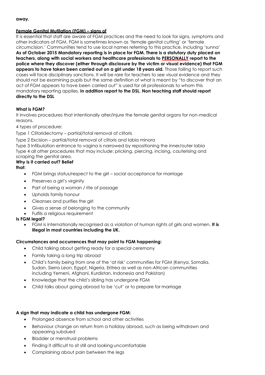#### **away.**

#### **Female Genital Mutilation (FGM) – signs of**

It is essential that staff are aware of FGM practices and the need to look for signs, symptoms and other indicators of FGM. FGM is sometimes known as 'female genital cutting' or 'female circumcision.' Communities tend to use local names referring to this practice, including 'sunna' **As of October 2015 Mandatory reporting is in place for FGM. There is a statutory duty placed on teachers, along with social workers and healthcare professionals to PERSONALLY report to the police where they discover (either through disclosure by the victim or visual evidence) that FGM appears to have taken been carried out on a girl under 18 years old.** Those failing to report such cases will face disciplinary sanctions. It will be rare for teachers to see visual evidence and they should not be examining pupils but the same definition of what is meant by "to discover that an act of FGM appears to have been carried out" is used for all professionals to whom this mandatory reporting applies. **In addition report to the DSL. Non teaching staff should report directly to the DSL**

#### **What is FGM?**

It involves procedures that intentionally alter/injure the female genital organs for non-medical reasons.

4 types of procedure:

Type 1 Clitoridectomy – partial/total removal of clitoris

Type 2 Excision – partial/total removal of clitoris and labia minora

Type 3 Infibulation entrance to vagina is narrowed by repositioning the inner/outer labia Type 4 all other procedures that may include: pricking, piercing, incising, cauterising and scraping the genital area.

#### **Why is it carried out? Belief**

#### **that:**

- FGM brings status/respect to the girl social acceptance for marriage
- Preserves a girl's virginity
- Part of being a woman / rite of passage
- Upholds family honour
- Cleanses and purifies the girl
- Gives a sense of belonging to the community
- Fulfils a religious requirement

#### **Is FGM legal?**

• FGM is internationally recognised as a violation of human rights of girls and women. **It is illegal in most countries including the UK.**

#### **Circumstances and occurrences that may point to FGM happening:**

- Child talking about getting ready for a special ceremony
- Family taking a long trip abroad
- Child's family being from one of the 'at risk' communities for FGM (Kenya, Somalia, Sudan, Sierra Leon, Egypt, Nigeria, Eritrea as well as non-African communities including Yemeni, Afghani, Kurdistan, Indonesia and Pakistan)
- Knowledge that the child's sibling has undergone FGM
- Child talks about going abroad to be 'cut' or to prepare for marriage

#### **A sign that may indicate a child has undergone FGM:**

- Prolonged absence from school and other activities
- Behaviour change on return from a holiday abroad, such as being withdrawn and appearing subdued
- Bladder or menstrual problems
- Finding it difficult to sit still and looking uncomfortable
- Complaining about pain between the legs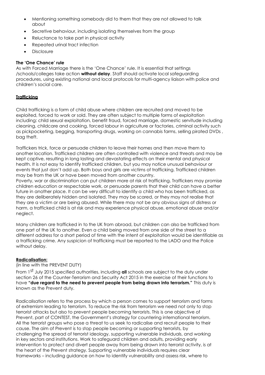- Mentioning something somebody did to them that they are not allowed to talk about
- Secretive behaviour, including isolating themselves from the group
- Reluctance to take part in physical activity
- Repeated urinal tract infection
- **Disclosure**

#### **The 'One Chance' rule**

As with Forced Marriage there is the 'One Chance' rule. It is essential that settings /schools/colleges take action **without delay**. Staff should activate local safeguarding procedures, using existing national and local protocols for multi-agency liaison with police and children's social care.

#### **Trafficking**

Child trafficking is a form of child abuse where children are recruited and moved to be exploited, forced to work or sold. They are often subject to multiple forms of exploitation including: child sexual exploitation, benefit fraud, forced marriage, domestic servitude including cleaning, childcare and cooking, forced labour in agriculture or factories, criminal activity such as pickpocketing, begging, transporting drugs, working on cannabis farms, selling pirated DVDs , bag theft.

Traffickers trick, force or persuade children to leave their homes and then move them to another location. Trafficked children are often controlled with violence and threats and may be kept captive, resulting in long lasting and devastating effects on their mental and physical health. It is not easy to identify trafficked children, but you may notice unusual behaviour or events that just don't add up. Both boys and girls are victims of trafficking. Trafficked children may be from the UK or have been moved from another country.

Poverty, war or discrimination can put children more at risk of trafficking. Traffickers may promise children education or respectable work, or persuade parents that their child can have a better future in another place. It can be very difficult to identify a child who has been trafficked, as they are deliberately hidden and isolated. They may be scared, or they may not realise that they are a victim or are being abused. While there may not be any obvious signs of distress or harm, a trafficked child is at risk and may experience physical abuse, emotional abuse and/or neglect.

Many children are trafficked in to the UK from abroad, but children can also be trafficked from one part of the UK to another. Even a child being moved from one side of the street to a different address for a short period of time with the intent of exploitation would be identifiable as a trafficking crime. Any suspicion of trafficking must be reported to the LADO and the Police without delay.

#### **Radicalisation:**

#### (in line with the PREVENT DUTY)

From 1st July 2015 specified authorities, including **all** schools are subject to the duty under section 26 of the Counter-Terrorism and Security Act 2015 in the exercise of their functions to have **"due regard to the need to prevent people from being drawn into terrorism."** This duty is known as the Prevent duty.

Radicalisation refers to the process by which a person comes to support terrorism and forms of extremism leading to terrorism. To reduce the risk from terrorism we need not only to stop terrorist attacks but also to prevent people becoming terrorists. This is one objective of Prevent, part of CONTEST, the Government's strategy for countering international terrorism. All the terrorist groups who pose a threat to us seek to radicalise and recruit people to their cause. The aim of Prevent is to stop people becoming or supporting terrorists, by challenging the spread of terrorist ideology, supporting vulnerable individuals, and working in key sectors and institutions. Work to safeguard children and adults, providing early intervention to protect and divert people away from being drawn into terrorist activity, is at the heart of the Prevent strategy. Supporting vulnerable individuals requires clear frameworks – including guidance on how to identify vulnerability and assess risk, where to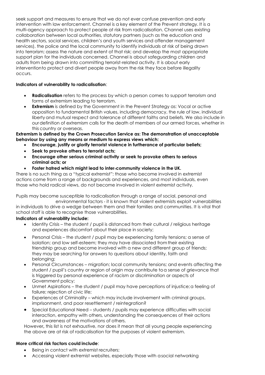seek support and measures to ensure that we do not ever confuse prevention and early intervention with law enforcement. Channel is a key element of the Prevent strategy. It is a multi-agency approach to protect people at risk from radicalisation. Channel uses existing collaboration between local authorities, statutory partners (such as the education and health sectors, social services, children's and youth services and offender management services), the police and the local community to identify individuals at risk of being drawn into terrorism; assess the nature and extent of that risk; and develop the most appropriate support plan for the individuals concerned. Channel is about safeguarding children and adults from being drawn into committing terrorist-related activity. It is about early interventionto protect and divert people away from the risk they face before illegality occurs.

# **Indicators of vulnerability to radicalisation**:

- **Radicalisation** refers to the process by which a person comes to support terrorism and forms of extremism leading to terrorism.
- **Extremism** is defined by the Government in the Prevent Strategy as: Vocal or active opposition to fundamental British values, including democracy, the rule of law, individual liberty and mutual respect and tolerance of different faiths and beliefs. We also include in ourdefinition of extremism calls for the death of members of our armed forces, whether in this country or overseas.

#### **Extremism is defined by the Crown Prosecution Service as: The demonstration of unacceptable behaviour by using any means or medium to express views which:**

- **Encourage, justify or glorify terrorist violence in furtherance of particular beliefs;**
- **Seek to provoke others to terrorist acts;**
- **Encourage other serious criminal activity or seek to provoke others to serious criminal acts; or**
- **Foster hatred which might lead to inter**‐**community violence in the UK.**

There is no such thing as a "typical extremist": those who become involved in extremist actions come from a range of backgrounds and experiences, and most individuals, even those who hold radical views, do not become involved in violent extremist activity.

Pupils may become susceptible to radicalisation through a range of social, personal and

environmental factors ‐ it is known that violent extremists exploit vulnerabilities in individuals to drive a wedge between them and their families and communities. It is vital that school staff is able to recognise those vulnerabilities.

# **Indicators of vulnerability include:**

- Identity Crisis the student / pupil is distanced from their cultural / religious heritage and experiences discomfort about their place in society;
- Personal Crisis the student / pupil may be experiencing family tensions; a sense of isolation; and low self‐esteem; they may have dissociated fromtheir existing friendship group and become involved with a new and different group of friends; they may be searching for answers to questions about identity, faith and belonging;
- Personal Circumstances migration; local community tensions; and events affecting the student / pupil's country or region of origin may contribute toa sense of grievance that is triggered by personal experience of racism or discrimination or aspects of Government policy;
- Unmet Aspirations the student / pupil may have perceptions of injustice;a feeling of failure; rejection of civic life;
- Experiences of Criminality which may include involvement with criminal groups, imprisonment, and poor resettlement / reintegration?
- Special Educational Need students / pupils may experience difficulties with social interaction, empathy with others, understanding the consequences of their actions and awareness of the motivations of others.

However**,** this list is not exhaustive, nor does it mean that all young people experiencing the above are at risk of radicalisation for the purposes of violent extremism.

# **More critical risk factors could include**:

- Being in contact with extremist recruiters;
- Accessing violent extremist websites, especially those with asocial networking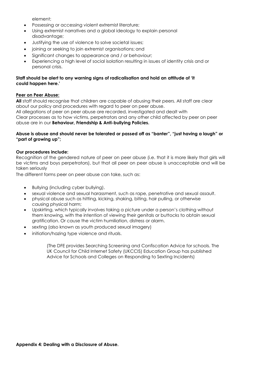element;

- Possessing or accessing violent extremist literature;
- Using extremist narratives and a global ideology to explain personal disadvantage;
- Justifying the use of violence to solve societal issues;
- joining or seeking to join extremist organisations; and
- Significant changes to appearance and / or behaviour;
- Experiencing a high level of social isolation resulting in issues of identity crisis and or personal crisis.

#### **Staff should be alert to any warning signs of radicalisation and hold an attitude of 'it could happen here.'**

#### **Peer on Peer Abuse:**

**All** staff should recognise that children are capable of abusing their peers. All staff are clear about our policy and procedures with regard to peer on peer abuse. All allegations of peer on peer abuse are recorded, investigated and dealt with Clear processes as to how victims, perpetrators and any other child affected by peer on peer abuse are in our **Behaviour, Friendship & Anti-bullying Policies.**

#### **Abuse is abuse and should never be tolerated or passed off as "banter", "just having a laugh" or "part of growing up";**

#### **Our procedures include:**

Recognition of the gendered nature of peer on peer abuse (i.e. that it is more likely that girls will be victims and boys perpetrators), but that all peer on peer abuse is unacceptable and will be taken seriously

The different forms peer on peer abuse can take, such as:

- Bullying (including cyber bullying).
- sexual violence and sexual harassment, such as rape, penetrative and sexual assault.
- physical abuse such as hitting, kicking, shaking, biting, hair pulling, or otherwise causing physical harm;
- Upskirting, which typically involves taking a picture under a person's clothing without them knowing, with the intention of viewing their genitals or buttocks to obtain sexual gratification. Or cause the victim humiliation, distress or alarm.
- sexting (also known as youth produced sexual imagery)
- initiation/hazing type violence and rituals.

(The DFE provides Searching Screening and Confiscation Advice for schools. The UK Council for Child Internet Safety (UKCCIS) Education Group has published Advice for Schools and Colleges on Responding to Sexting Incidents)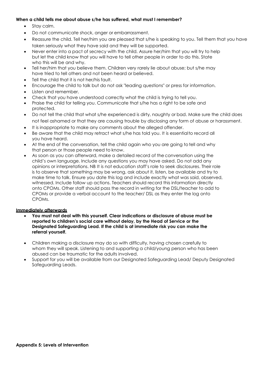#### **When a child tells me about abuse s/he has suffered, what must I remember?**

- Stay calm.
- Do not communicate shock, anger or embarrassment.
- Reassure the child. Tell her/him you are pleased that s/he is speaking to you. Tell them that you have taken seriously what they have said and they will be supported.
- Never enter into a pact of secrecy with the child. Assure her/him that you will try to help but let the child know that you will have to tell other people in order to do this. State who this will be and why.
- Tell her/him that you believe them. Children very rarely lie about abuse; but s/he may have tried to tell others and not been heard or believed.
- Tell the child that it is not her/his fault.
- Encourage the child to talk but do not ask "leading questions" or press for information.
- Listen and remember.
- Check that you have understood correctly what the child is trying to tell you.
- Praise the child for telling you. Communicate that s/he has a right to be safe and protected.
- Do not tell the child that what s/he experienced is dirty, naughty or bad. Make sure the child does not feel ashamed or that they are causing trouble by disclosing any form of abuse or harassment.
- It is inappropriate to make any comments about the alleged offender.
- Be aware that the child may retract what s/he has told you. It is essentialto record all you have heard.
- At the end of the conversation, tell the child again who you are going to tell and why that person or those people need to know.
- As soon as you can afterward, make a detailed record of the conversation using the child's own language. Include any questions you may have asked. Do not add any opinions or interpretations. NB It is not education staff's role to seek disclosures. Their role is to observe that something may be wrong, ask about it, listen, be available and try to make time to talk. Ensure you date this log and include exactly what was said, observed, witnessed. Include follow up actions. Teachers should record this information directly onto CPOMs. Other staff should pass the record in writing for the DSL/teacher to add to CPOMs or provide a verbal account to the teacher/ DSL as they enter the log onto CPOMs.

#### **Immediately afterwards**

- **You must not deal with this yourself. Clear indications or disclosure of abuse must be reported to children's social care without delay, by the Head of Service or the Designated Safeguarding Lead. If the child is at immediate risk you can make the referral yourself.**
- Children making a disclosure may do so with difficulty, having chosen carefully to whom they will speak. Listening to and supporting a child/young person who has been abused can be traumatic for the adults involved.
- Support for you will be available from our Designated Safeguarding Lead/ Deputy Designated Safeguarding Leads.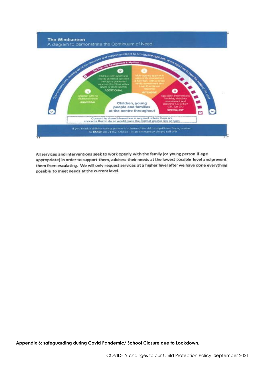

All services and interventions seek to work openly with the family (or young person if age appropriate) in order to support them, address their needs at the lowest possible level and prevent them from escalating. We will only request services at a higher level after we have done everything possible to meet needs at the current level.

**Appendix 6: safeguarding during Covid Pandemic/ School Closure due to Lockdown.**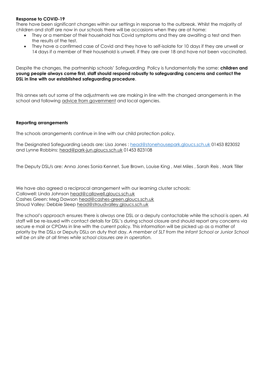#### **Response to COVID-19**

There have been significant changes within our settings in response to the outbreak. Whilst the majority of children and staff are now in our schools there will be occasions when they are at home:

- They or a member of their household has Covid symptoms and they are awaiting a test and then the results of the test.
- They have a confirmed case of Covid and they have to self-isolate for 10 days if they are unwell or 14 days if a member of their household is unwell, if they are over 18 and have not been vaccinated.

Despite the changes, the partnership schools' Safeguarding Policy is fundamentally the same: **children and young people always come first, staff should respond robustly to safeguarding concerns and contact the DSL in line with our established safeguarding procedure**.

This annex sets out some of the adjustments we are making in line with the changed arrangements in the school and following [advice from government](https://www.gov.uk/government/publications/covid-19-safeguarding-in-schools-colleges-and-other-providers/coronavirus-covid-19-safeguarding-in-schools-colleges-and-other-providers) and local agencies.

#### **Reporting arrangements**

The schools arrangements continue in line with our child protection policy.

The Designated Safeguarding Leads are: Lisa Jones : [head@stonehousepark.gloucs.sch.uk](mailto:head@stonehousepark.gloucs.sch.uk) 01453 823052 and Lynne Robbins: [head@park-jun.gloucs.sch.uk](mailto:head@park-jun.gloucs.sch.uk) 01453 823108

The Deputy DSL/s are: Anna Jones Sonia Kennet, Sue Brown, Louise King , Mel Miles , Sarah Reis , Mark Tiller

We have also agreed a reciprocal arrangement with our learning cluster schools: Callowell: Linda Johnson [head@callowell.gloucs.sch.uk](mailto:head@callowell.gloucs.sch.uk) Cashes Green: Meg Dawson [head@cashes-green.gloucs.sch.uk](mailto:head@cashes-green.gloucs.sch.uk) Stroud Valley: Debbie Sleep [head@stroudvalley.gloucs.sch.uk](mailto:head@stroudvalley.gloucs.sch.uk)

The school's approach ensures there is always one DSL or a deputy contactable while the school is open. All staff will be re-issued with contact details for DSL's during school closure and should report any concerns via secure e mail or CPOMs in line with the current policy. This information will be picked up as a matter of priority by the DSLs or Deputy DSLs on duty that day. *A member of SLT from the Infant School or Junior School will be on site at all times while school closures are in operation.*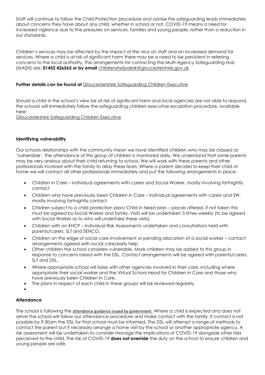Staff will continue to follow the Child Protection procedure and advise the safeguarding leads immediately about concerns they have about any child, whether in school or not. COVID-19 means a need for increased vigilance due to the pressures on services, families and young people, rather than a reduction in our standards.

Children's services may be affected by the impact of the virus on staff and an increased demand for services. Where a child is at risk of significant harm there may be a need to be persistent in referring concerns to the local authority. The arrangements for contacting the Multi-Agency Safeguarding Hub (MASH) are: **01452 426565 or by email** [childrenshelpdesk@gloucestershire.gov.uk](mailto:childrenshelpdesk@gloucestershire.gov.uk)

#### Further details can be found at **[Gloucestershire Safeguarding Children Executive](https://www.gscb.org.uk/i-work-with-children-young-people-and-parents/guidance-for-working-with-children-and-young-people/)**

Should a child in the school's view be at risk of significant harm and local agencies are not able to respond, the schools will immediately follow the safeguarding children executive escalation procedure, available here:

[Gloucestershire Safeguarding Children Executive](https://www.gscb.org.uk/i-work-with-children-young-people-and-parents/guidance-for-working-with-children-and-young-people/)

#### **Identifying vulnerability**

Our schools relationships with the community mean we have identified children who may be classed as 'vulnerable'. The attendance of this group of children is monitored daily. We understand that some parents may be very anxious about their child returning to school. We will work with these parents and other professionals involved with the family to allay these fears. Where a parent decides to keep their child at home we will contact all other professionals immediately and put the following arrangements in place:

- Children in Care individual agreements with carers and Social Worker, mostly involving fortnightly contact
- Children who have previously been Children in Care individual agreements with carers and SW, mostly involving fortnightly contact
- Children subject to a child protection plan/ Child in Need plan places offered, if not taken this must be agreed by Social Worker and family. Visits will be undertaken 3 times weekly (to be agreed with Social Worker as to who will undertake these visits).
- Children with an EHCP Individual Risk Assessments undertaken and consultations held with parents/carers, SLT and SENCO.
- Children on the edge of social care involvement or pending allocation of a social worker contact arrangements agreed with social care/early help
- Other children the school considers vulnerable. More children may be added to this group in response to concerns raised with the DSL. Contact arrangements will be agreed with parents/carers, SLT and DSL.
- Where appropriate school will liaise with other agencies involved in their care, including where appropriate their social worker and the Virtual School Head for Children in Care and those who have previously been Children in Care.
- The plans in respect of each child in these groups will be reviewed regularly.
- •

#### **Attendance**

The school is following the [attendance guidance issued by government](https://www.gov.uk/government/publications/coronavirus-covid-19-attendance-recording-for-educational-settings). Where a child is expected and does not arrive the school will follow our attendance procedure and make contact with the family. If contact is not possible by 9:30am the DSL for that school must be informed. The DSL will attempt a range of methods to contact the parent but if necessary arrange a home visit by the school or another appropriate agency. A risk assessment will be undertaken to consider manage the implications of COVID-19 alongside other risks perceived to the child. The risk of COVID-19 **does not override** the duty on the school to ensure children and young people are safe.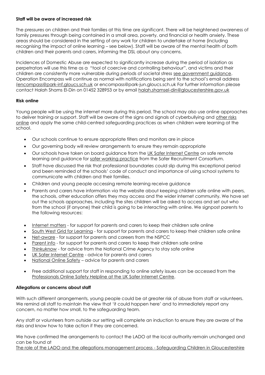#### **Staff will be aware of increased risk**

The pressures on children and their families at this time are significant. There will be heightened awareness of family pressures through being contained in a small area, poverty, and financial or health anxiety. These areas should be considered in the setting of any work for children to undertake at home (including recognising the impact of online learning – see below). Staff will be aware of the mental health of both children and their parents and carers, informing the DSL about any concerns.

Incidences of Domestic Abuse are expected to significantly increase during the period of isolation as perpetrators will use this time as a "tool of coercive and controlling behaviour", and victims and their children are consistently more vulnerable during periods of societal stress [see government guidance.](https://www.gov.uk/guidance/domestic-abuse-how-to-get-help?utm_source=9edb434c-8bd7-4ca1-b369-97fee02097fe&utm_medium=email&utm_campaign=govuk-notifications&utm_content=immediate) Operation Encompass will continue as normal with notifications being sent to the school's email address [\(encompass@park-inf.gloucs.sch.uk](mailto:encompass@park-inf.gloucs.sch.uk) or encompass@park-jun.gloucs.sch.uk For further information please contact Halah Shams El-Din on 01452 328953 or by email [halah.shamsel-din@gloucestershire.gov.uk](mailto:halah.shamsel-din@gloucestershire.gov.uk)

#### **Risk online**

Young people will be using the internet more during this period. The school may also use online approaches to deliver training or support. Staff will be aware of the signs and signals of cyberbullying and [other risks](https://www.nspcc.org.uk/keeping-children-safe/online-safety/)  [online](https://www.nspcc.org.uk/keeping-children-safe/online-safety/) and apply the same child-centred safeguarding practices as when children were learning at the school.

- Our schools continue to ensure appropriate filters and monitors are in place
- Our governing body will review arrangements to ensure they remain appropriate
- Our schools have taken on board guidance from the [UK Safer Internet Centre](https://www.saferinternet.org.uk/) on safe remote learning and guidance for [safer working practice](https://www.saferrecruitmentconsortium.org/GSWP%20Sept%202019.pdf) from the Safer Recruitment Consortium.
- Staff have discussed the risk that professional boundaries could slip during this exceptional period and been reminded of the schools' code of conduct and importance of using school systems to communicate with children and their families.
- Children and young people accessing remote learning receive guidance
- Parents and carers have information via the website about keeping children safe online with peers, the schools, other education offers they may access and the wider internet community. We have set out the schools approaches, including the sites children will be asked to access and set out who from the school (if anyone) their child is going to be interacting with online. We signpost parents to the following resources:
- [Internet matters](https://www.internetmatters.org/?gclid=EAIaIQobChMIktuA5LWK2wIVRYXVCh2afg2aEAAYASAAEgIJ5vD_BwE) for support for parents and carers to keep their children safe online
- [South West Grid for Learning](https://swgfl.org.uk/) for support for parents and carers to keep their children safe online
- [Net-aware](https://www.net-aware.org.uk/) for support for parents and careers from the NSPCC
- [Parent info](https://parentinfo.org/favicon.ico) for support for parents and carers to keep their children safe online
- [Thinkuknow](https://www.thinkuknow.co.uk/) for advice from the National Crime Agency to stay safe online
- [UK Safer Internet Centre](https://www.saferinternet.org.uk/) advice for parents and carers
- [National Online Safety](https://nationalonlinesafety.com/) advice for parents and carers
- Free additional support for staff in responding to online safety issues can be accessed from the [Professionals Online Safety Helpline at the UK Safer Internet Centre.](https://www.saferinternet.org.uk/helpline/professionals-online-safety-helpline)

#### **Allegations or concerns about staff**

With such different arrangements, young people could be at greater risk of abuse from staff or volunteers. We remind all staff to maintain the view that 'it could happen here' and to immediately report any concern, no matter how small, to the safeguarding team.

Any staff or volunteers from outside our setting will complete an induction to ensure they are aware of the risks and know how to take action if they are concerned.

We have confirmed the arrangements to contact the LADO at the local authority remain unchanged and can be found at

[The role of the LADO and the allegations management process -](https://www.gscb.org.uk/i-work-with-children-young-people-and-parents/the-role-of-the-lado-and-the-allegations-management-process/) Safeguarding Children in Gloucestershire